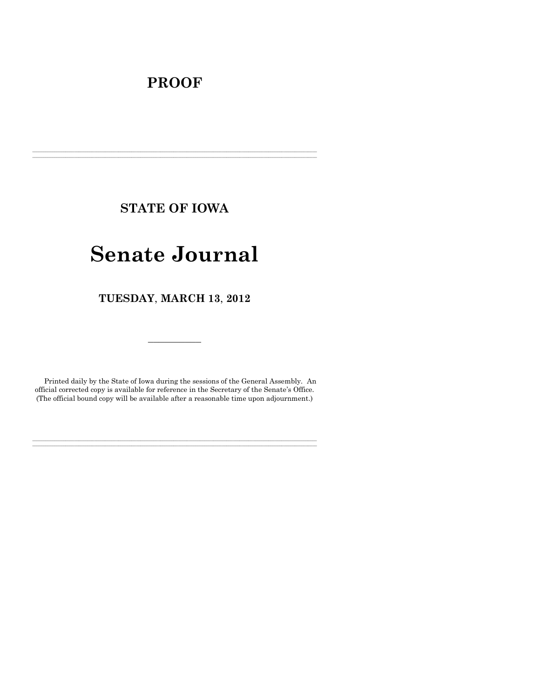# **PROOF**

**STATE OF IOWA**

**\_\_\_\_\_\_\_\_\_\_\_\_\_\_\_\_\_\_\_\_\_\_\_\_\_\_\_\_\_\_\_\_\_\_\_\_\_\_\_\_\_\_\_\_\_\_\_\_\_\_\_\_\_\_\_\_\_\_\_\_\_\_\_\_\_\_\_\_\_\_\_\_\_\_\_\_\_\_\_\_\_\_\_\_\_\_\_\_\_\_\_\_\_\_\_\_\_\_\_\_\_\_\_\_\_\_\_\_\_\_\_\_\_\_\_\_\_\_\_\_\_\_\_\_\_\_\_\_\_**  $\mathcal{L} = \{ \mathcal{L} = \{ \mathcal{L} = \{ \mathcal{L} = \{ \mathcal{L} = \{ \mathcal{L} = \{ \mathcal{L} = \{ \mathcal{L} = \{ \mathcal{L} = \{ \mathcal{L} = \{ \mathcal{L} = \{ \mathcal{L} = \{ \mathcal{L} = \{ \mathcal{L} = \{ \mathcal{L} = \{ \mathcal{L} = \{ \mathcal{L} = \{ \mathcal{L} = \{ \mathcal{L} = \{ \mathcal{L} = \{ \mathcal{L} = \{ \mathcal{L} = \{ \mathcal{L} = \{ \mathcal{L} = \{ \mathcal{$ 

# **Senate Journal**

**TUESDAY**, **MARCH 13**, **2012**

Printed daily by the State of Iowa during the sessions of the General Assembly. An official corrected copy is available for reference in the Secretary of the Senate's Office. (The official bound copy will be available after a reasonable time upon adjournment.)

**\_\_\_\_\_\_\_\_\_\_\_\_\_\_\_\_\_\_\_\_\_\_\_\_\_\_\_\_\_\_\_\_\_\_\_\_\_\_\_\_\_\_\_\_\_\_\_\_\_\_\_\_\_\_\_\_\_\_\_\_\_\_\_\_\_\_\_\_\_\_\_\_\_\_\_\_\_\_\_\_\_\_\_\_\_\_\_\_\_\_\_\_\_\_\_\_\_\_\_\_\_\_\_\_\_\_\_\_\_\_\_\_\_\_\_\_\_\_\_\_\_\_\_\_\_\_\_\_\_ \_\_\_\_\_\_\_\_\_\_\_\_\_\_\_\_\_\_\_\_\_\_\_\_\_\_\_\_\_\_\_\_\_\_\_\_\_\_\_\_\_\_\_\_\_\_\_\_\_\_\_\_\_\_\_\_\_\_\_\_\_\_\_\_\_\_\_\_\_\_\_\_\_\_\_\_\_\_\_\_\_\_\_\_\_\_\_\_\_\_\_\_\_\_\_\_\_\_\_\_\_\_\_\_\_\_\_\_\_\_\_\_\_\_\_\_\_\_\_\_\_\_\_\_\_\_\_\_\_**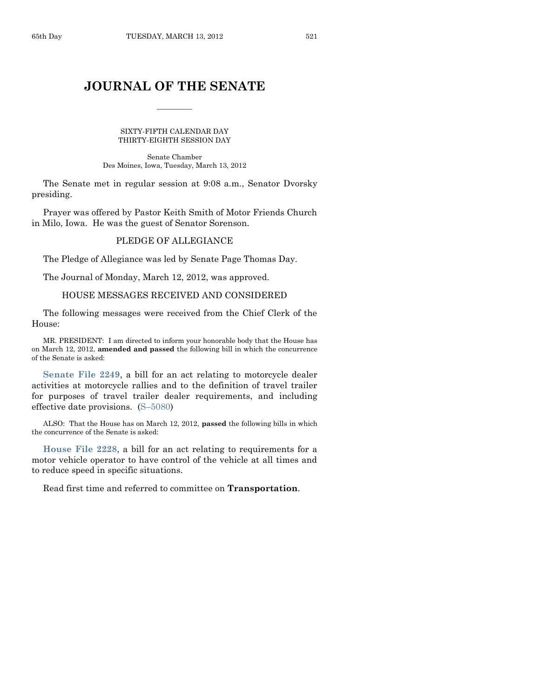# **JOURNAL OF THE SENATE**

 $\overline{\phantom{a}}$ 

SIXTY-FIFTH CALENDAR DAY THIRTY-EIGHTH SESSION DAY

Senate Chamber Des Moines, Iowa, Tuesday, March 13, 2012

The Senate met in regular session at 9:08 a.m., Senator Dvorsky presiding.

Prayer was offered by Pastor Keith Smith of Motor Friends Church in Milo, Iowa. He was the guest of Senator Sorenson.

# PLEDGE OF ALLEGIANCE

The Pledge of Allegiance was led by Senate Page Thomas Day.

The Journal of Monday, March 12, 2012, was approved.

# HOUSE MESSAGES RECEIVED AND CONSIDERED

The following messages were received from the Chief Clerk of the House:

MR. PRESIDENT: I am directed to inform your honorable body that the House has on March 12, 2012, **amended and passed** the following bill in which the concurrence of the Senate is asked:

**[Senate File 2249](http://coolice.legis.state.ia.us/Cool-ICE/default.asp?Category=billinfo&Service=Billbook&frame=1&GA=84&hbill=SF2249)**, a bill for an act relating to motorcycle dealer activities at motorcycle rallies and to the definition of travel trailer for purposes of travel trailer dealer requirements, and including effective date provisions. (S–[5080\)](http://coolice.legis.state.ia.us/Cool-ICE/default.asp?Category=billinfo&Service=Billbook&frame=1&GA=84&hbill=S5080)

ALSO: That the House has on March 12, 2012, **passed** the following bills in which the concurrence of the Senate is asked:

**[House File 2228](http://coolice.legis.state.ia.us/Cool-ICE/default.asp?Category=billinfo&Service=Billbook&frame=1&GA=84&hbill=HF2228)**, a bill for an act relating to requirements for a motor vehicle operator to have control of the vehicle at all times and to reduce speed in specific situations.

Read first time and referred to committee on **Transportation**.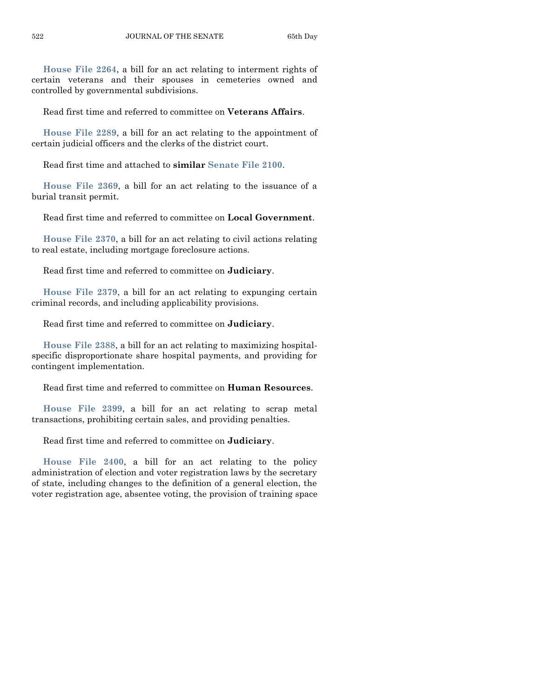**[House File 2264](http://coolice.legis.state.ia.us/Cool-ICE/default.asp?Category=billinfo&Service=Billbook&frame=1&GA=84&hbill=HF2264)**, a bill for an act relating to interment rights of certain veterans and their spouses in cemeteries owned and controlled by governmental subdivisions.

Read first time and referred to committee on **Veterans Affairs**.

**[House File 2289](http://coolice.legis.state.ia.us/Cool-ICE/default.asp?Category=billinfo&Service=Billbook&frame=1&GA=84&hbill=HF2289)**, a bill for an act relating to the appointment of certain judicial officers and the clerks of the district court.

Read first time and attached to **similar [Senate File 2100](http://coolice.legis.state.ia.us/Cool-ICE/default.asp?Category=billinfo&Service=Billbook&frame=1&GA=84&hbill=SF2100)**.

**[House File 2369](http://coolice.legis.state.ia.us/Cool-ICE/default.asp?Category=billinfo&Service=Billbook&frame=1&GA=84&hbill=HF2369)**, a bill for an act relating to the issuance of a burial transit permit.

Read first time and referred to committee on **Local Government**.

**[House File 2370](http://coolice.legis.state.ia.us/Cool-ICE/default.asp?Category=billinfo&Service=Billbook&frame=1&GA=84&hbill=HF2370)**, a bill for an act relating to civil actions relating to real estate, including mortgage foreclosure actions.

Read first time and referred to committee on **Judiciary**.

**[House File 2379](http://coolice.legis.state.ia.us/Cool-ICE/default.asp?Category=billinfo&Service=Billbook&frame=1&GA=84&hbill=HF2379)**, a bill for an act relating to expunging certain criminal records, and including applicability provisions.

Read first time and referred to committee on **Judiciary**.

**[House File 2388](http://coolice.legis.state.ia.us/Cool-ICE/default.asp?Category=billinfo&Service=Billbook&frame=1&GA=84&hbill=HF2388)**, a bill for an act relating to maximizing hospitalspecific disproportionate share hospital payments, and providing for contingent implementation.

Read first time and referred to committee on **Human Resources**.

**[House File 2399](http://coolice.legis.state.ia.us/Cool-ICE/default.asp?Category=billinfo&Service=Billbook&frame=1&GA=84&hbill=HF2399)**, a bill for an act relating to scrap metal transactions, prohibiting certain sales, and providing penalties.

Read first time and referred to committee on **Judiciary**.

**[House File 2400](http://coolice.legis.state.ia.us/Cool-ICE/default.asp?Category=billinfo&Service=Billbook&frame=1&GA=84&hbill=HF2400)**, a bill for an act relating to the policy administration of election and voter registration laws by the secretary of state, including changes to the definition of a general election, the voter registration age, absentee voting, the provision of training space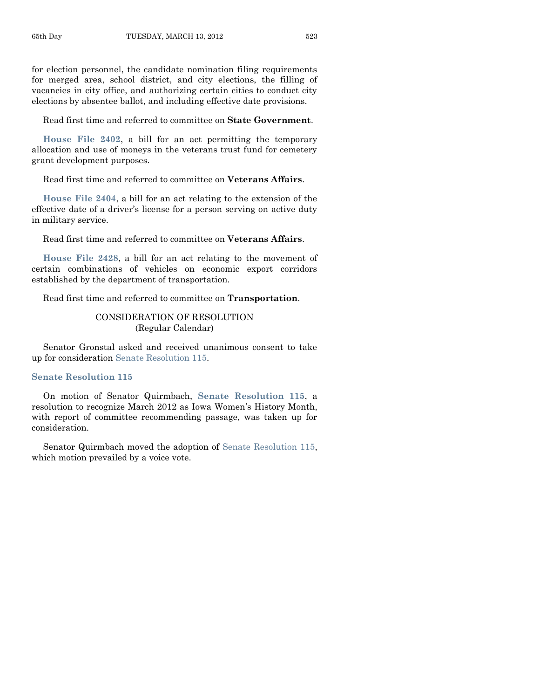for election personnel, the candidate nomination filing requirements for merged area, school district, and city elections, the filling of vacancies in city office, and authorizing certain cities to conduct city elections by absentee ballot, and including effective date provisions.

Read first time and referred to committee on **State Government**.

**[House File 2402](http://coolice.legis.state.ia.us/Cool-ICE/default.asp?Category=billinfo&Service=Billbook&frame=1&GA=84&hbill=HF2402)**, a bill for an act permitting the temporary allocation and use of moneys in the veterans trust fund for cemetery grant development purposes.

Read first time and referred to committee on **Veterans Affairs**.

**[House File 2404](http://coolice.legis.state.ia.us/Cool-ICE/default.asp?Category=billinfo&Service=Billbook&frame=1&GA=84&hbill=HF2404)**, a bill for an act relating to the extension of the effective date of a driver's license for a person serving on active duty in military service.

Read first time and referred to committee on **Veterans Affairs**.

**[House File 2428](http://coolice.legis.state.ia.us/Cool-ICE/default.asp?Category=billinfo&Service=Billbook&frame=1&GA=84&hbill=HF2428)**, a bill for an act relating to the movement of certain combinations of vehicles on economic export corridors established by the department of transportation.

Read first time and referred to committee on **Transportation**.

# CONSIDERATION OF RESOLUTION (Regular Calendar)

Senator Gronstal asked and received unanimous consent to take up for consideration [Senate Resolution 115.](http://coolice.legis.state.ia.us/Cool-ICE/default.asp?Category=billinfo&Service=Billbook&frame=1&GA=84&hbill=SR115)

#### **[Senate Resolution 115](http://coolice.legis.state.ia.us/Cool-ICE/default.asp?Category=billinfo&Service=Billbook&frame=1&GA=84&hbill=SR115)**

On motion of Senator Quirmbach, **Senate [Resolution 115](http://coolice.legis.state.ia.us/Cool-ICE/default.asp?Category=billinfo&Service=Billbook&frame=1&GA=84&hbill=SR115)**, a resolution to recognize March 2012 as Iowa Women's History Month, with report of committee recommending passage, was taken up for consideration.

Senator Quirmbach moved the adoption of [Senate Resolution 115,](http://coolice.legis.state.ia.us/Cool-ICE/default.asp?Category=billinfo&Service=Billbook&frame=1&GA=84&hbill=SR115) which motion prevailed by a voice vote.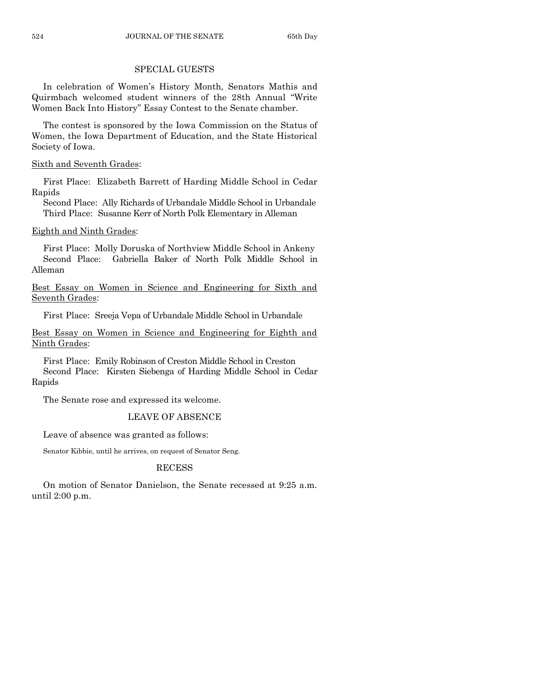# SPECIAL GUESTS

In celebration of Women's History Month, Senators Mathis and Quirmbach welcomed student winners of the 28th Annual "Write Women Back Into History" Essay Contest to the Senate chamber.

The contest is sponsored by the Iowa Commission on the Status of Women, the Iowa Department of Education, and the State Historical Society of Iowa.

# Sixth and Seventh Grades:

First Place: Elizabeth Barrett of Harding Middle School in Cedar Rapids

Second Place: Ally Richards of Urbandale Middle School in Urbandale Third Place: Susanne Kerr of North Polk Elementary in Alleman

# Eighth and Ninth Grades:

First Place: Molly Doruska of Northview Middle School in Ankeny Second Place: Gabriella Baker of North Polk Middle School in Alleman

Best Essay on Women in Science and Engineering for Sixth and Seventh Grades:

First Place: Sreeja Vepa of Urbandale Middle School in Urbandale

Best Essay on Women in Science and Engineering for Eighth and Ninth Grades:

First Place: Emily Robinson of Creston Middle School in Creston Second Place: Kirsten Siebenga of Harding Middle School in Cedar Rapids

The Senate rose and expressed its welcome.

# LEAVE OF ABSENCE

Leave of absence was granted as follows:

Senator Kibbie, until he arrives, on request of Senator Seng.

# RECESS

On motion of Senator Danielson, the Senate recessed at 9:25 a.m. until 2:00 p.m.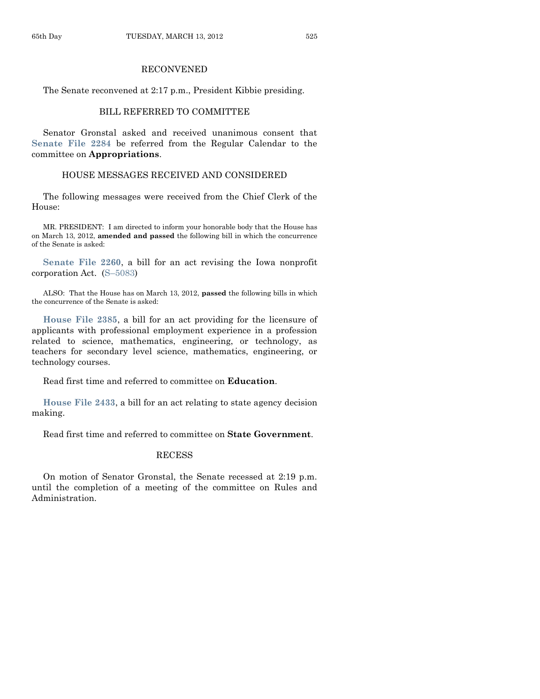# RECONVENED

The Senate reconvened at 2:17 p.m., President Kibbie presiding.

# BILL REFERRED TO COMMITTEE

Senator Gronstal asked and received unanimous consent that **[Senate File 2284](http://coolice.legis.state.ia.us/Cool-ICE/default.asp?Category=billinfo&Service=Billbook&frame=1&GA=84&hbill=SF2284)** be referred from the Regular Calendar to the committee on **Appropriations**.

# HOUSE MESSAGES RECEIVED AND CONSIDERED

The following messages were received from the Chief Clerk of the House:

MR. PRESIDENT: I am directed to inform your honorable body that the House has on March 13, 2012, **amended and passed** the following bill in which the concurrence of the Senate is asked:

**[Senate File 2260](http://coolice.legis.state.ia.us/Cool-ICE/default.asp?Category=billinfo&Service=Billbook&frame=1&GA=84&hbill=SF2260)**, a bill for an act revising the Iowa nonprofit corporation Act. (S–[5083\)](http://coolice.legis.state.ia.us/Cool-ICE/default.asp?Category=billinfo&Service=Billbook&frame=1&GA=84&hbill=S5083)

ALSO: That the House has on March 13, 2012, **passed** the following bills in which the concurrence of the Senate is asked:

**[House File 2385](http://coolice.legis.state.ia.us/Cool-ICE/default.asp?Category=billinfo&Service=Billbook&frame=1&GA=84&hbill=HF2385)**, a bill for an act providing for the licensure of applicants with professional employment experience in a profession related to science, mathematics, engineering, or technology, as teachers for secondary level science, mathematics, engineering, or technology courses.

Read first time and referred to committee on **Education**.

**[House File 2433](http://coolice.legis.state.ia.us/Cool-ICE/default.asp?Category=billinfo&Service=Billbook&frame=1&GA=84&hbill=HF2433)**, a bill for an act relating to state agency decision making.

Read first time and referred to committee on **State Government**.

#### RECESS

On motion of Senator Gronstal, the Senate recessed at 2:19 p.m. until the completion of a meeting of the committee on Rules and Administration.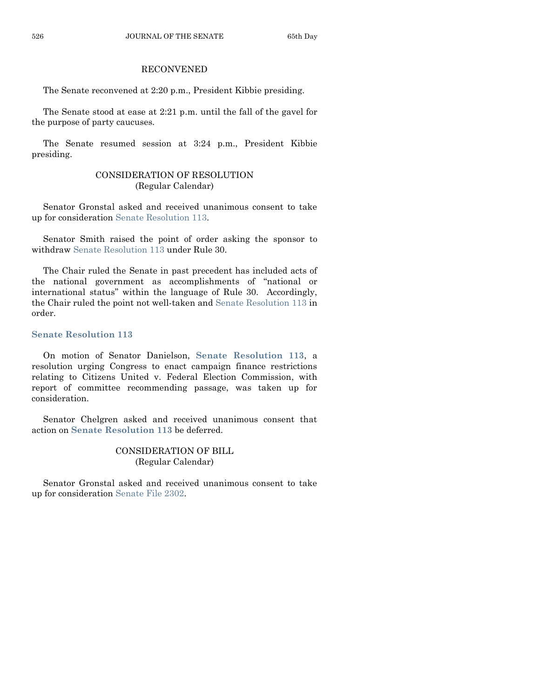# RECONVENED

The Senate reconvened at 2:20 p.m., President Kibbie presiding.

The Senate stood at ease at 2:21 p.m. until the fall of the gavel for the purpose of party caucuses.

The Senate resumed session at 3:24 p.m., President Kibbie presiding.

# CONSIDERATION OF RESOLUTION (Regular Calendar)

Senator Gronstal asked and received unanimous consent to take up for consideration [Senate Resolution 113.](http://coolice.legis.state.ia.us/Cool-ICE/default.asp?Category=billinfo&Service=Billbook&frame=1&GA=84&hbill=SR113)

Senator Smith raised the point of order asking the sponsor to withdraw [Senate Resolution 113](http://coolice.legis.state.ia.us/Cool-ICE/default.asp?Category=billinfo&Service=Billbook&frame=1&GA=84&hbill=SR113) under Rule 30.

The Chair ruled the Senate in past precedent has included acts of the national government as accomplishments of "national or international status" within the language of Rule 30. Accordingly, the Chair ruled the point not well-taken and [Senate Resolution 113](http://coolice.legis.state.ia.us/Cool-ICE/default.asp?Category=billinfo&Service=Billbook&frame=1&GA=84&hbill=SR113) in order.

# **[Senate Resolution 113](http://coolice.legis.state.ia.us/Cool-ICE/default.asp?Category=billinfo&Service=Billbook&frame=1&GA=84&hbill=SR113)**

On motion of Senator Danielson, **Senate [Resolution 113](http://coolice.legis.state.ia.us/Cool-ICE/default.asp?Category=billinfo&Service=Billbook&frame=1&GA=84&hbill=SR113)**, a resolution urging Congress to enact campaign finance restrictions relating to Citizens United v. Federal Election Commission, with report of committee recommending passage, was taken up for consideration.

Senator Chelgren asked and received unanimous consent that action on **Senate [Resolution 113](http://coolice.legis.state.ia.us/Cool-ICE/default.asp?Category=billinfo&Service=Billbook&frame=1&GA=84&hbill=SR113)** be deferred.

# CONSIDERATION OF BILL (Regular Calendar)

Senator Gronstal asked and received unanimous consent to take up for consideration [Senate File 2302.](http://coolice.legis.state.ia.us/Cool-ICE/default.asp?Category=billinfo&Service=Billbook&frame=1&GA=84&hbill=SF2302)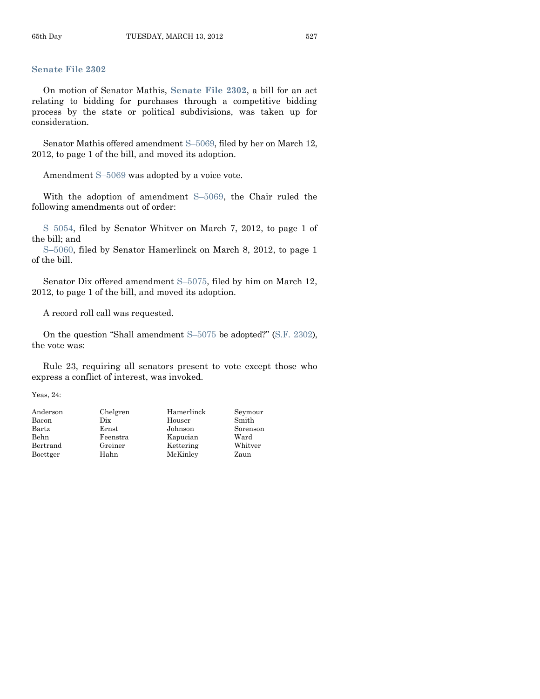# **[Senate File 2302](http://coolice.legis.state.ia.us/Cool-ICE/default.asp?Category=billinfo&Service=Billbook&frame=1&GA=84&hbill=SF2302)**

On motion of Senator Mathis, **[Senate File 2302](http://coolice.legis.state.ia.us/Cool-ICE/default.asp?Category=billinfo&Service=Billbook&frame=1&GA=84&hbill=SF2302)**, a bill for an act relating to bidding for purchases through a competitive bidding process by the state or political subdivisions, was taken up for consideration.

Senator Mathis offered amendment S–[5069,](http://coolice.legis.state.ia.us/Cool-ICE/default.asp?Category=billinfo&Service=Billbook&frame=1&GA=84&hbill=S5069) filed by her on March 12, 2012, to page 1 of the bill, and moved its adoption.

Amendment S–[5069](http://coolice.legis.state.ia.us/Cool-ICE/default.asp?Category=billinfo&Service=Billbook&frame=1&GA=84&hbill=S5069) was adopted by a voice vote.

With the adoption of amendment S–[5069,](http://coolice.legis.state.ia.us/Cool-ICE/default.asp?Category=billinfo&Service=Billbook&frame=1&GA=84&hbill=S5069) the Chair ruled the following amendments out of order:

S–[5054,](http://coolice.legis.state.ia.us/Cool-ICE/default.asp?Category=billinfo&Service=Billbook&frame=1&GA=84&hbill=S5054) filed by Senator Whitver on March 7, 2012, to page 1 of the bill; and

S–[5060,](http://coolice.legis.state.ia.us/Cool-ICE/default.asp?Category=billinfo&Service=Billbook&frame=1&GA=84&hbill=S5060) filed by Senator Hamerlinck on March 8, 2012, to page 1 of the bill.

Senator Dix offered amendment S–[5075,](http://coolice.legis.state.ia.us/Cool-ICE/default.asp?Category=billinfo&Service=Billbook&frame=1&GA=84&hbill=S5075) filed by him on March 12, 2012, to page 1 of the bill, and moved its adoption.

A record roll call was requested.

On the question "Shall amendment S–[5075](http://coolice.legis.state.ia.us/Cool-ICE/default.asp?Category=billinfo&Service=Billbook&frame=1&GA=84&hbill=S5075) be adopted?" [\(S.F. 2302\)](http://coolice.legis.state.ia.us/Cool-ICE/default.asp?Category=billinfo&Service=Billbook&frame=1&GA=84&hbill=SF2302), the vote was:

Rule 23, requiring all senators present to vote except those who express a conflict of interest, was invoked.

Yeas, 24:

| Anderson | Chelgren | Hamerlinck | Seymour  |
|----------|----------|------------|----------|
| Bacon    | Dix      | Houser     | Smith    |
| Bartz    | Ernst    | Johnson    | Sorenson |
| Behn     | Feenstra | Kapucian   | Ward     |
| Bertrand | Greiner  | Kettering  | Whitver  |
| Boettger | Hahn     | McKinley   | Zaun     |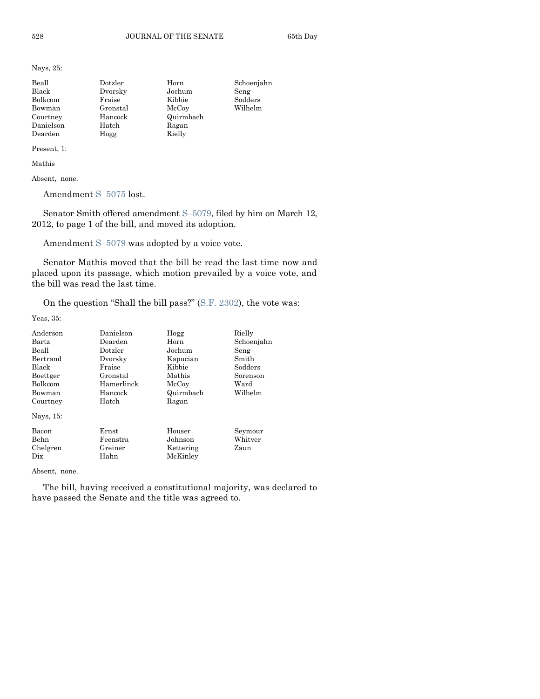Nays, 25:

| Beall     | Dotzler  | Horn      | Schoenjahn |
|-----------|----------|-----------|------------|
| Black     | Dvorsky  | Jochum    | Seng       |
| Bolkcom   | Fraise   | Kibbie    | Sodders    |
| Bowman    | Gronstal | McCoy     | Wilhelm    |
| Courtney  | Hancock  | Quirmbach |            |
| Danielson | Hatch    | Ragan     |            |
| Dearden   | Hogg     | Rielly    |            |

Present, 1:

Mathis

Absent, none.

Amendment S–[5075](http://coolice.legis.state.ia.us/Cool-ICE/default.asp?Category=billinfo&Service=Billbook&frame=1&GA=84&hbill=S5075) lost.

Senator Smith offered amendment S–[5079,](http://coolice.legis.state.ia.us/Cool-ICE/default.asp?Category=billinfo&Service=Billbook&frame=1&GA=84&hbill=S5079) filed by him on March 12, 2012, to page 1 of the bill, and moved its adoption.

Amendment S–[5079](http://coolice.legis.state.ia.us/Cool-ICE/default.asp?Category=billinfo&Service=Billbook&frame=1&GA=84&hbill=S5079) was adopted by a voice vote.

Senator Mathis moved that the bill be read the last time now and placed upon its passage, which motion prevailed by a voice vote, and the bill was read the last time.

On the question "Shall the bill pass?" [\(S.F. 2302\)](http://coolice.legis.state.ia.us/Cool-ICE/default.asp?Category=billinfo&Service=Billbook&frame=1&GA=84&hbill=SF2302), the vote was:

Yeas, 35:

| Anderson       | Danielson  | Hogg      | Rielly     |
|----------------|------------|-----------|------------|
| <b>Bartz</b>   | Dearden    | Horn      | Schoenjahn |
| Beall          | Dotzler    | Jochum    | Seng       |
| Bertrand       | Dvorsky    | Kapucian  | Smith      |
| Black          | Fraise     | Kibbie    | Sodders    |
| Boettger       | Gronstal   | Mathis    | Sorenson   |
| <b>Bolkcom</b> | Hamerlinck | McCoy     | Ward       |
| Bowman         | Hancock    | Quirmbach | Wilhelm    |
| Courtney       | Hatch      | Ragan     |            |
| Nays, 15:      |            |           |            |
| Bacon          | Ernst      | Houser    | Seymour    |
| Behn           | Feenstra   | Johnson   | Whitver    |
| Chelgren       | Greiner    | Kettering | Zaun       |
| $_{\rm \,pix}$ | Hahn       | McKinley  |            |

Absent, none.

The bill, having received a constitutional majority, was declared to have passed the Senate and the title was agreed to.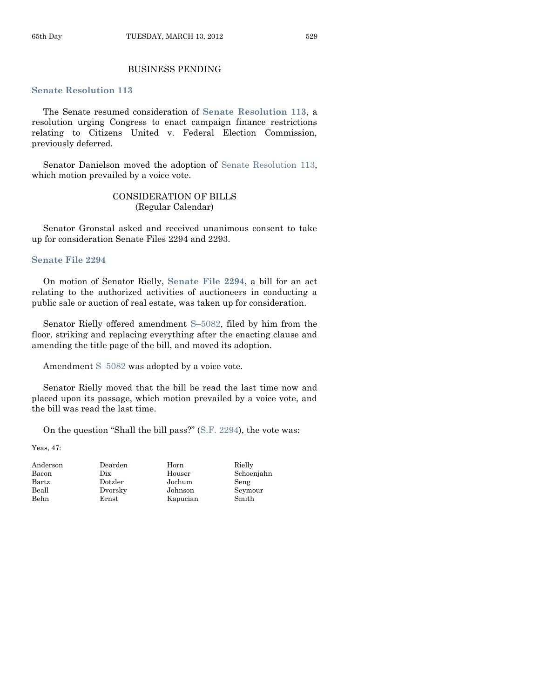# BUSINESS PENDING

#### **[Senate Resolution 113](http://coolice.legis.state.ia.us/Cool-ICE/default.asp?Category=billinfo&Service=Billbook&frame=1&GA=84&hbill=SR113)**

The Senate resumed consideration of **[Senate Resolution 113](http://coolice.legis.state.ia.us/Cool-ICE/default.asp?Category=billinfo&Service=Billbook&frame=1&GA=84&hbill=SR113)**, a resolution urging Congress to enact campaign finance restrictions relating to Citizens United v. Federal Election Commission, previously deferred.

Senator Danielson moved the adoption of Senate [Resolution 113,](http://coolice.legis.state.ia.us/Cool-ICE/default.asp?Category=billinfo&Service=Billbook&frame=1&GA=84&hbill=SR113) which motion prevailed by a voice vote.

# CONSIDERATION OF BILLS (Regular Calendar)

Senator Gronstal asked and received unanimous consent to take up for consideration Senate Files 2294 and 2293.

#### **[Senate File 2294](http://coolice.legis.state.ia.us/Cool-ICE/default.asp?Category=billinfo&Service=Billbook&frame=1&GA=84&hbill=SF2294)**

On motion of Senator Rielly, **[Senate File 2294](http://coolice.legis.state.ia.us/Cool-ICE/default.asp?Category=billinfo&Service=Billbook&frame=1&GA=84&hbill=SF2294)**, a bill for an act relating to the authorized activities of auctioneers in conducting a public sale or auction of real estate, was taken up for consideration.

Senator Rielly offered amendment S–[5082,](http://coolice.legis.state.ia.us/Cool-ICE/default.asp?Category=billinfo&Service=Billbook&frame=1&GA=84&hbill=S5082) filed by him from the floor, striking and replacing everything after the enacting clause and amending the title page of the bill, and moved its adoption.

Amendment S–[5082](http://coolice.legis.state.ia.us/Cool-ICE/default.asp?Category=billinfo&Service=Billbook&frame=1&GA=84&hbill=S5082) was adopted by a voice vote.

Senator Rielly moved that the bill be read the last time now and placed upon its passage, which motion prevailed by a voice vote, and the bill was read the last time.

On the question "Shall the bill pass?" [\(S.F. 2294\)](http://coolice.legis.state.ia.us/Cool-ICE/default.asp?Category=billinfo&Service=Billbook&frame=1&GA=84&hbill=SF2294), the vote was:

Yeas, 47:

| Andersor |
|----------|
| Bacon    |
| Bartz    |
| Beall    |
| Behn     |

n Dearden Horn Rielly Bartz Dotzler Jochum Seng Ernst Kapucian Smith

Dix Houser Schoenjahn Beall Dvorsky Johnson Seymour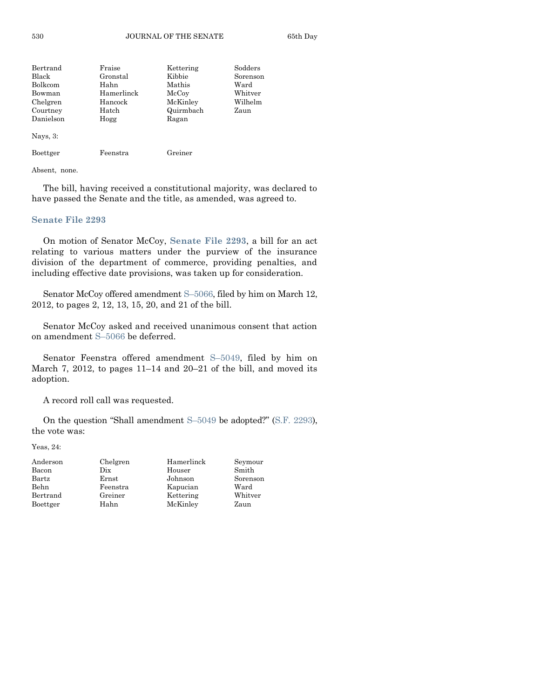| Bertrand       | Fraise     | Kettering | Sodders  |
|----------------|------------|-----------|----------|
| Black          | Gronstal   | Kibbie    | Sorenson |
| <b>Bolkcom</b> | Hahn       | Mathis    | Ward     |
| Bowman         | Hamerlinck | McCoy     | Whitver  |
| Chelgren       | Hancock    | McKinley  | Wilhelm  |
| Courtney       | Hatch      | Quirmbach | Zaun     |
| Danielson      | Hogg       | Ragan     |          |
| Nays, $3$ :    |            |           |          |
| Boettger       | Feenstra   | Greiner   |          |

Absent, none.

The bill, having received a constitutional majority, was declared to have passed the Senate and the title, as amended, was agreed to.

# **[Senate File 2293](http://coolice.legis.state.ia.us/Cool-ICE/default.asp?Category=billinfo&Service=Billbook&frame=1&GA=84&hbill=SF2293)**

On motion of Senator McCoy, **[Senate File 2293](http://coolice.legis.state.ia.us/Cool-ICE/default.asp?Category=billinfo&Service=Billbook&frame=1&GA=84&hbill=SF2293)**, a bill for an act relating to various matters under the purview of the insurance division of the department of commerce, providing penalties, and including effective date provisions, was taken up for consideration.

Senator McCoy offered amendment S–[5066,](http://coolice.legis.state.ia.us/Cool-ICE/default.asp?Category=billinfo&Service=Billbook&frame=1&GA=84&hbill=S5066) filed by him on March 12, 2012, to pages 2, 12, 13, 15, 20, and 21 of the bill.

Senator McCoy asked and received unanimous consent that action on amendment S–[5066](http://coolice.legis.state.ia.us/Cool-ICE/default.asp?Category=billinfo&Service=Billbook&frame=1&GA=84&hbill=S5066) be deferred.

Senator Feenstra offered amendment S–[5049,](http://coolice.legis.state.ia.us/Cool-ICE/default.asp?Category=billinfo&Service=Billbook&frame=1&GA=84&hbill=S5049) filed by him on March 7, 2012, to pages 11–14 and 20–21 of the bill, and moved its adoption.

A record roll call was requested.

On the question "Shall amendment S–[5049](http://coolice.legis.state.ia.us/Cool-ICE/default.asp?Category=billinfo&Service=Billbook&frame=1&GA=84&hbill=S5049) be adopted?" [\(S.F. 2293\)](http://coolice.legis.state.ia.us/Cool-ICE/default.asp?Category=billinfo&Service=Billbook&frame=1&GA=84&hbill=SF2293), the vote was:

Yeas, 24:

| Anderson | Chelgren | Hamerlinck | Seymour  |
|----------|----------|------------|----------|
| Bacon    | Dix      | Houser     | Smith    |
| Bartz    | Ernst    | Johnson    | Sorenson |
| Behn     | Feenstra | Kapucian   | Ward     |
| Bertrand | Greiner  | Kettering  | Whitver  |
| Boettger | Hahn     | McKinley   | Zaun     |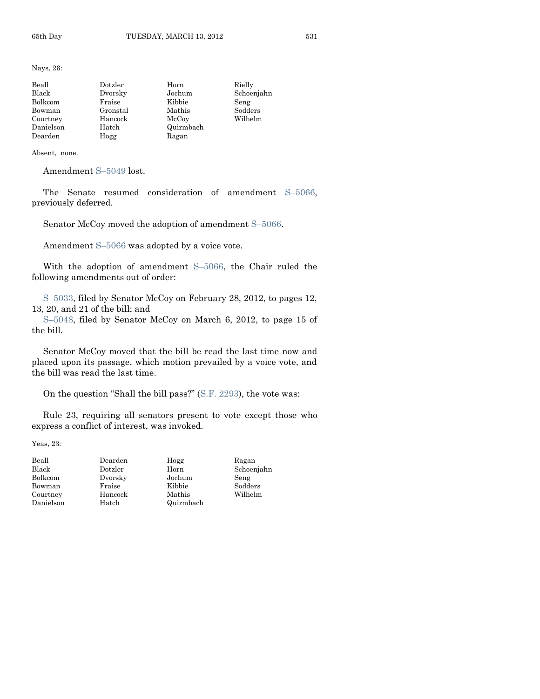Nays, 26:

| Beall     | Dotzler  | Horn      | Rielly     |
|-----------|----------|-----------|------------|
| Black     | Dvorsky  | Jochum    | Schoenjahn |
| Bolkcom   | Fraise   | Kibbie    | Seng       |
| Bowman    | Gronstal | Mathis    | Sodders    |
| Courtney  | Hancock  | McCoy     | Wilhelm    |
| Danielson | Hatch    | Quirmbach |            |
| Dearden   | Hogg     | Ragan     |            |

Absent, none.

Amendment S–[5049](http://coolice.legis.state.ia.us/Cool-ICE/default.asp?Category=billinfo&Service=Billbook&frame=1&GA=84&hbill=S5049) lost.

The Senate resumed consideration of amendment S–[5066,](http://coolice.legis.state.ia.us/Cool-ICE/default.asp?Category=billinfo&Service=Billbook&frame=1&GA=84&hbill=S5066) previously deferred.

Senator McCoy moved the adoption of amendment S–[5066.](http://coolice.legis.state.ia.us/Cool-ICE/default.asp?Category=billinfo&Service=Billbook&frame=1&GA=84&hbill=S5066)

Amendment S–[5066](http://coolice.legis.state.ia.us/Cool-ICE/default.asp?Category=billinfo&Service=Billbook&frame=1&GA=84&hbill=S5066) was adopted by a voice vote.

With the adoption of amendment S–[5066,](http://coolice.legis.state.ia.us/Cool-ICE/default.asp?Category=billinfo&Service=Billbook&frame=1&GA=84&hbill=S5066) the Chair ruled the following amendments out of order:

S–[5033,](http://coolice.legis.state.ia.us/Cool-ICE/default.asp?Category=billinfo&Service=Billbook&frame=1&GA=84&hbill=S5033) filed by Senator McCoy on February 28, 2012, to pages 12, 13, 20, and 21 of the bill; and

S–[5048,](http://coolice.legis.state.ia.us/Cool-ICE/default.asp?Category=billinfo&Service=Billbook&frame=1&GA=84&hbill=S5048) filed by Senator McCoy on March 6, 2012, to page 15 of the bill.

Senator McCoy moved that the bill be read the last time now and placed upon its passage, which motion prevailed by a voice vote, and the bill was read the last time.

On the question "Shall the bill pass?" [\(S.F. 2293\)](http://coolice.legis.state.ia.us/Cool-ICE/default.asp?Category=billinfo&Service=Billbook&frame=1&GA=84&hbill=SF2293), the vote was:

Rule 23, requiring all senators present to vote except those who express a conflict of interest, was invoked.

Yeas, 23:

| Beall     | Dearden | Hogg      | Ragan      |
|-----------|---------|-----------|------------|
| Black     | Dotzler | Horn      | Schoenjahn |
| Bolkcom   | Dvorsky | Jochum    | Seng       |
| Bowman    | Fraise  | Kibbie    | Sodders    |
| Courtney  | Hancock | Mathis    | Wilhelm    |
| Danielson | Hatch   | Quirmbach |            |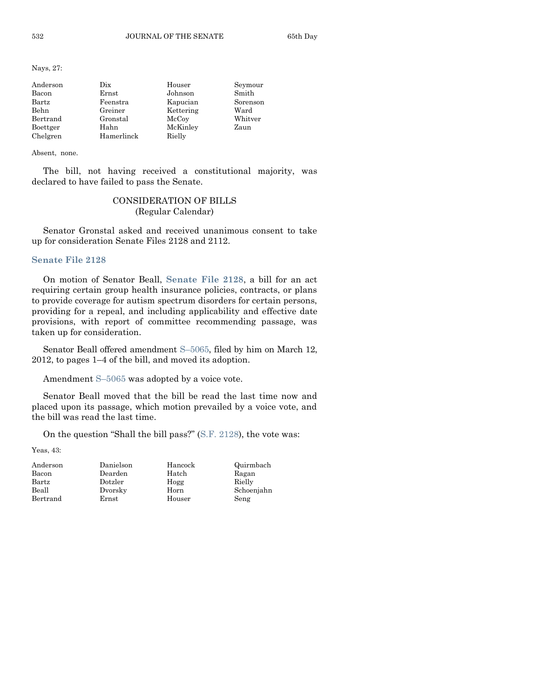Nays, 27:

| Anderson | Dix.       | Houser    | Seymour  |
|----------|------------|-----------|----------|
| Bacon    | Ernst      | Johnson   | Smith    |
| Bartz    | Feenstra   | Kapucian  | Sorenson |
| Behn     | Greiner    | Kettering | Ward     |
| Bertrand | Gronstal   | McCoy     | Whitver  |
| Boettger | Hahn       | McKinley  | Zaun     |
| Chelgren | Hamerlinck | Rielly    |          |

Absent, none.

The bill, not having received a constitutional majority, was declared to have failed to pass the Senate.

# CONSIDERATION OF BILLS (Regular Calendar)

Senator Gronstal asked and received unanimous consent to take up for consideration Senate Files 2128 and 2112.

# **[Senate File 2128](http://coolice.legis.state.ia.us/Cool-ICE/default.asp?Category=billinfo&Service=Billbook&frame=1&GA=84&hbill=SF2128)**

On motion of Senator Beall, **[Senate File 2128](http://coolice.legis.state.ia.us/Cool-ICE/default.asp?Category=billinfo&Service=Billbook&frame=1&GA=84&hbill=SF2128)**, a bill for an act requiring certain group health insurance policies, contracts, or plans to provide coverage for autism spectrum disorders for certain persons, providing for a repeal, and including applicability and effective date provisions, with report of committee recommending passage, was taken up for consideration.

Senator Beall offered amendment S–[5065,](http://coolice.legis.state.ia.us/Cool-ICE/default.asp?Category=billinfo&Service=Billbook&frame=1&GA=84&hbill=S5065) filed by him on March 12, 2012, to pages 1–4 of the bill, and moved its adoption.

Amendment S–[5065](http://coolice.legis.state.ia.us/Cool-ICE/default.asp?Category=billinfo&Service=Billbook&frame=1&GA=84&hbill=S5065) was adopted by a voice vote.

Senator Beall moved that the bill be read the last time now and placed upon its passage, which motion prevailed by a voice vote, and the bill was read the last time.

On the question "Shall the bill pass?" [\(S.F. 2128\)](http://coolice.legis.state.ia.us/Cool-ICE/default.asp?Category=billinfo&Service=Billbook&frame=1&GA=84&hbill=SF2128), the vote was:

Yeas, 43:

| Anderson       |  |
|----------------|--|
| Bacon          |  |
| $_{\rm Bartz}$ |  |
| Beall          |  |
| Bertrand       |  |

Anderson Danielson Hancock Quirmbach Dearden Hatch Dotzler Hogg Dvorsky Horn Ernst Houser

| Quirmbach  |  |
|------------|--|
| Ragan      |  |
| Rielly     |  |
| Schoenjahn |  |
| Seng       |  |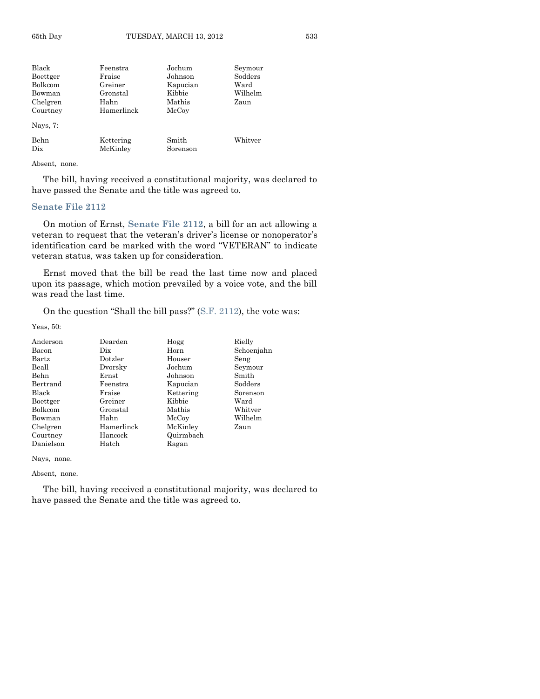| Black          | Feenstra   | Jochum   | Seymour |
|----------------|------------|----------|---------|
| Boettger       | Fraise     | Johnson  | Sodders |
| Bolkcom        | Greiner    | Kapucian | Ward    |
| Bowman         | Gronstal   | Kibbie   | Wilhelm |
| Chelgren       | Hahn       | Mathis   | Zaun    |
| Courtney       | Hamerlinck | McCoy    |         |
| Nays, 7:       |            |          |         |
| Behn           | Kettering  | Smith    | Whitver |
| $_{\rm \,pix}$ | McKinley   | Sorenson |         |

Absent, none.

The bill, having received a constitutional majority, was declared to have passed the Senate and the title was agreed to.

# **[Senate File 2112](http://coolice.legis.state.ia.us/Cool-ICE/default.asp?Category=billinfo&Service=Billbook&frame=1&GA=84&hbill=SF2112)**

On motion of Ernst, **[Senate File 2112](http://coolice.legis.state.ia.us/Cool-ICE/default.asp?Category=billinfo&Service=Billbook&frame=1&GA=84&hbill=SF2112)**, a bill for an act allowing a veteran to request that the veteran's driver's license or nonoperator's identification card be marked with the word "VETERAN" to indicate veteran status, was taken up for consideration.

Ernst moved that the bill be read the last time now and placed upon its passage, which motion prevailed by a voice vote, and the bill was read the last time.

On the question "Shall the bill pass?" [\(S.F. 2112\)](http://coolice.legis.state.ia.us/Cool-ICE/default.asp?Category=billinfo&Service=Billbook&frame=1&GA=84&hbill=SF2112), the vote was:

Yeas, 50:

| Anderson       | Dearden    | Hogg      | Rielly     |
|----------------|------------|-----------|------------|
| Bacon          | Dix        | Horn      | Schoenjahn |
| <b>Bartz</b>   | Dotzler    | Houser    | Seng       |
| Beall          | Dvorsky    | Jochum    | Seymour    |
| Behn           | Ernst      | Johnson   | Smith      |
| Bertrand       | Feenstra   | Kapucian  | Sodders    |
| Black          | Fraise     | Kettering | Sorenson   |
| Boettger       | Greiner    | Kibbie    | Ward       |
| <b>Bolkcom</b> | Gronstal   | Mathis    | Whitver    |
| Bowman         | Hahn       | McCoy     | Wilhelm    |
| Chelgren       | Hamerlinck | McKinley  | Zaun       |
| Courtney       | Hancock    | Quirmbach |            |
| Danielson      | Hatch      | Ragan     |            |

Nays, none.

Absent, none.

The bill, having received a constitutional majority, was declared to have passed the Senate and the title was agreed to.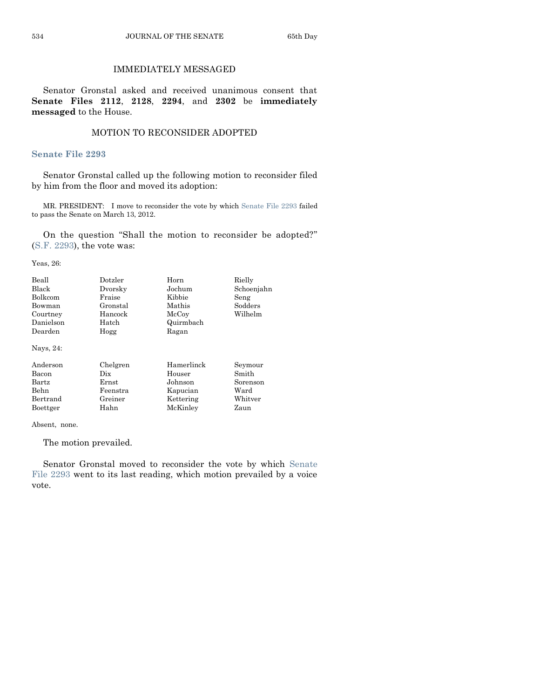# IMMEDIATELY MESSAGED

Senator Gronstal asked and received unanimous consent that **Senate Files 2112**, **2128**, **2294**, and **2302** be **immediately messaged** to the House.

# MOTION TO RECONSIDER ADOPTED

#### **[Senate File 2293](http://coolice.legis.state.ia.us/Cool-ICE/default.asp?Category=billinfo&Service=Billbook&frame=1&GA=84&hbill=SF2293)**

Senator Gronstal called up the following motion to reconsider filed by him from the floor and moved its adoption:

MR. PRESIDENT: I move to reconsider the vote by whic[h Senate File 2293](http://coolice.legis.state.ia.us/Cool-ICE/default.asp?Category=billinfo&Service=Billbook&frame=1&GA=84&hbill=SF2293) failed to pass the Senate on March 13, 2012.

On the question "Shall the motion to reconsider be adopted?" (S.F. [2293\)](http://coolice.legis.state.ia.us/Cool-ICE/default.asp?Category=billinfo&Service=Billbook&frame=1&GA=84&hbill=SF2293), the vote was:

Yeas, 26:

| Beall<br>Black<br><b>Bolkcom</b><br>Bowman<br>Courtney<br>Danielson<br>Dearden<br>Nays, 24: | Dotzler<br>Dvorsky<br>Fraise<br>Gronstal<br>Hancock<br>Hatch<br>Hogg | Horn<br>Jochum<br>Kibbie<br>Mathis<br>McCoy<br>Quirmbach<br>Ragan | Rielly<br>Schoenjahn<br>Seng<br>Sodders<br>Wilhelm |
|---------------------------------------------------------------------------------------------|----------------------------------------------------------------------|-------------------------------------------------------------------|----------------------------------------------------|
| Anderson                                                                                    | Chelgren                                                             | Hamerlinck                                                        | Seymour                                            |
| Bacon                                                                                       | Dix                                                                  | Houser                                                            | Smith                                              |
| <b>Bartz</b>                                                                                | Ernst                                                                | Johnson                                                           | Sorenson                                           |

Behn Feenstra Kapucian Ward<br>Bertrand Greiner Kettering Whitv Bertrand Greiner Kettering Whitver Boettger Hahn McKinley Zaun

Absent, none.

The motion prevailed.

Senator Gronstal moved to reconsider the vote by which [Senate](http://coolice.legis.state.ia.us/Cool-ICE/default.asp?Category=billinfo&Service=Billbook&frame=1&GA=84&hbill=SF2293)  [File 2293](http://coolice.legis.state.ia.us/Cool-ICE/default.asp?Category=billinfo&Service=Billbook&frame=1&GA=84&hbill=SF2293) went to its last reading, which motion prevailed by a voice vote.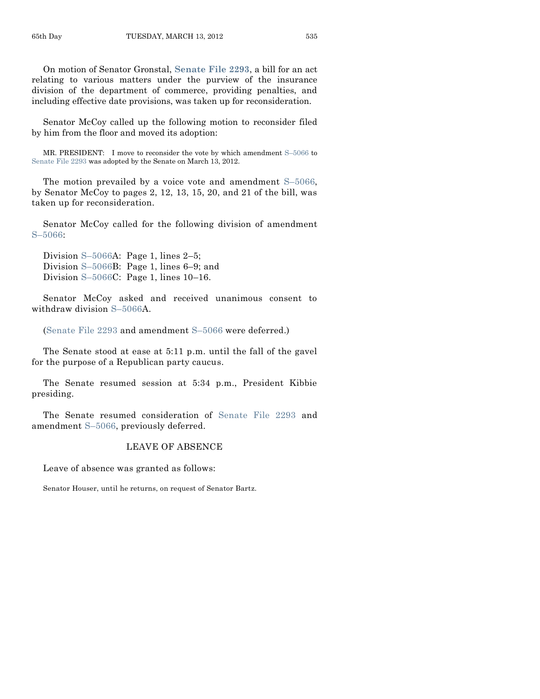On motion of Senator Gronstal, **[Senate File 2293](http://coolice.legis.state.ia.us/Cool-ICE/default.asp?Category=billinfo&Service=Billbook&frame=1&GA=84&hbill=SF2293)**, a bill for an act relating to various matters under the purview of the insurance division of the department of commerce, providing penalties, and including effective date provisions, was taken up for reconsideration.

Senator McCoy called up the following motion to reconsider filed by him from the floor and moved its adoption:

MR. PRESIDENT: I move to reconsider the vote by which amendment S–[5066](http://coolice.legis.state.ia.us/Cool-ICE/default.asp?Category=billinfo&Service=Billbook&frame=1&GA=84&hbill=S5066) to [Senate File 2293](http://coolice.legis.state.ia.us/Cool-ICE/default.asp?Category=billinfo&Service=Billbook&frame=1&GA=84&hbill=SF2293) was adopted by the Senate on March 13, 2012.

The motion prevailed by a voice vote and amendment S–[5066,](http://coolice.legis.state.ia.us/Cool-ICE/default.asp?Category=billinfo&Service=Billbook&frame=1&GA=84&hbill=S5066) by Senator McCoy to pages 2, 12, 13, 15, 20, and 21 of the bill, was taken up for reconsideration.

Senator McCoy called for the following division of amendment S–[5066:](http://coolice.legis.state.ia.us/Cool-ICE/default.asp?Category=billinfo&Service=Billbook&frame=1&GA=84&hbill=S5066)

Division S–[5066A](http://coolice.legis.state.ia.us/Cool-ICE/default.asp?Category=billinfo&Service=Billbook&frame=1&GA=84&hbill=S5066): Page 1, lines 2–5; Division S–[5066B](http://coolice.legis.state.ia.us/Cool-ICE/default.asp?Category=billinfo&Service=Billbook&frame=1&GA=84&hbill=S5066): Page 1, lines 6–9; and Division S–[5066C](http://coolice.legis.state.ia.us/Cool-ICE/default.asp?Category=billinfo&Service=Billbook&frame=1&GA=84&hbill=S5066): Page 1, lines 10–16.

Senator McCoy asked and received unanimous consent to withdraw division S–[5066A](http://coolice.legis.state.ia.us/Cool-ICE/default.asp?Category=billinfo&Service=Billbook&frame=1&GA=84&hbill=S5066).

[\(Senate File 2293](http://coolice.legis.state.ia.us/Cool-ICE/default.asp?Category=billinfo&Service=Billbook&frame=1&GA=84&hbill=SF2293) and amendment S–[5066](http://coolice.legis.state.ia.us/Cool-ICE/default.asp?Category=billinfo&Service=Billbook&frame=1&GA=84&hbill=S5066) were deferred.)

The Senate stood at ease at 5:11 p.m. until the fall of the gavel for the purpose of a Republican party caucus.

The Senate resumed session at 5:34 p.m., President Kibbie presiding.

The Senate resumed consideration of [Senate File 2293](http://coolice.legis.state.ia.us/Cool-ICE/default.asp?Category=billinfo&Service=Billbook&frame=1&GA=84&hbill=SF2293) and amendment S–[5066,](http://coolice.legis.state.ia.us/Cool-ICE/default.asp?Category=billinfo&Service=Billbook&frame=1&GA=84&hbill=S5066) previously deferred.

# LEAVE OF ABSENCE

Leave of absence was granted as follows:

Senator Houser, until he returns, on request of Senator Bartz.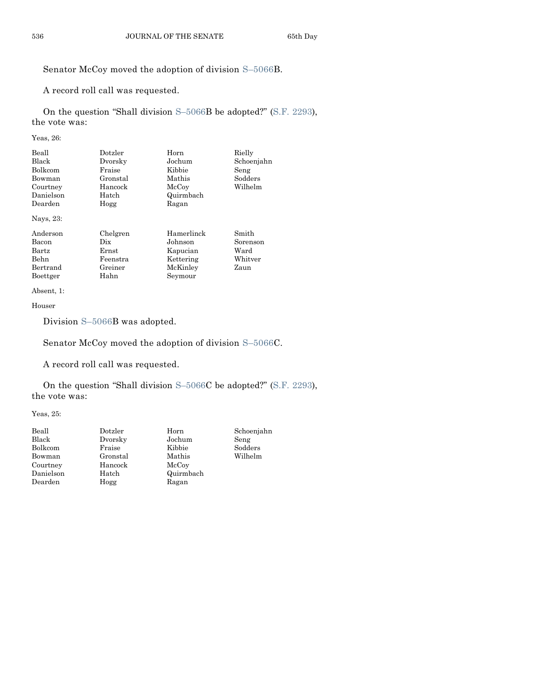# Senator McCoy moved the adoption of division S–[5066B](http://coolice.legis.state.ia.us/Cool-ICE/default.asp?Category=billinfo&Service=Billbook&frame=1&GA=84&hbill=S5066).

A record roll call was requested.

On the question "Shall division S–[5066B](http://coolice.legis.state.ia.us/Cool-ICE/default.asp?Category=billinfo&Service=Billbook&frame=1&GA=84&hbill=S5066) be adopted?" [\(S.F. 2293\)](http://coolice.legis.state.ia.us/Cool-ICE/default.asp?Category=billinfo&Service=Billbook&frame=1&GA=84&hbill=SF2293), the vote was:

Yeas, 26:

| Beall<br><b>Black</b><br><b>Bolkcom</b><br>Bowman<br>Courtney<br>Danielson<br>Dearden<br>Nays, 23: | Dotzler<br>Dvorsky<br>Fraise<br>Gronstal<br>Hancock<br>Hatch<br>Hogg | Horn<br>Jochum<br>Kibbie<br>Mathis<br>McCoy<br>Quirmbach<br>Ragan     | Rielly<br>Schoenjahn<br>Seng<br>Sodders<br>Wilhelm |
|----------------------------------------------------------------------------------------------------|----------------------------------------------------------------------|-----------------------------------------------------------------------|----------------------------------------------------|
| Anderson<br>Bacon<br><b>Bartz</b><br><b>Behn</b><br>Bertrand<br>Boettger                           | Chelgren<br>Dix<br>Ernst<br>Feenstra<br>Greiner<br>Hahn              | Hamerlinck<br>Johnson<br>Kapucian<br>Kettering<br>McKinley<br>Seymour | Smith<br>Sorenson<br>Ward<br>Whitver<br>Zaun       |

Absent, 1:

Houser

Division S–[5066B](http://coolice.legis.state.ia.us/Cool-ICE/default.asp?Category=billinfo&Service=Billbook&frame=1&GA=84&hbill=S5066) was adopted.

Senator McCoy moved the adoption of division S–[5066C](http://coolice.legis.state.ia.us/Cool-ICE/default.asp?Category=billinfo&Service=Billbook&frame=1&GA=84&hbill=S5066).

A record roll call was requested.

On the question "Shall division S–[5066C](http://coolice.legis.state.ia.us/Cool-ICE/default.asp?Category=billinfo&Service=Billbook&frame=1&GA=84&hbill=S5066) be adopted?" [\(S.F. 2293\)](http://coolice.legis.state.ia.us/Cool-ICE/default.asp?Category=billinfo&Service=Billbook&frame=1&GA=84&hbill=SF2293), the vote was:

Yeas, 25:

| Beall     | Dotzler  | Horn      | Schoenjahn |
|-----------|----------|-----------|------------|
| Black     | Dvorsky  | Jochum    | Seng       |
| Bolkcom   | Fraise   | Kibbie    | Sodders    |
| Bowman    | Gronstal | Mathis    | Wilhelm    |
| Courtney  | Hancock  | McCoy     |            |
| Danielson | Hatch    | Quirmbach |            |
| Dearden   | Hogg     | Ragan     |            |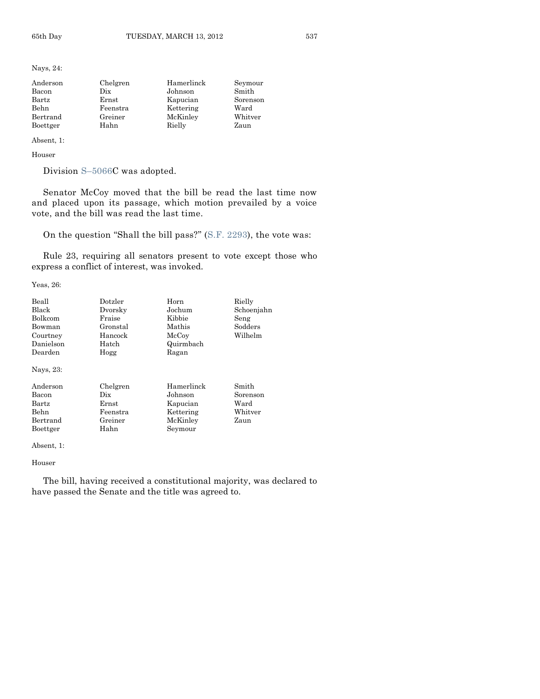Nays, 24:

| Anderson | Chelgren | Hamerlinck | Seymour  |
|----------|----------|------------|----------|
| Bacon    | Dix      | Johnson    | Smith    |
| Bartz    | Ernst    | Kapucian   | Sorenson |
| Behn     | Feenstra | Kettering  | Ward     |
| Bertrand | Greiner  | McKinley   | Whitver  |
| Boettger | Hahn     | Rielly     | Zaun     |

Absent, 1:

Houser

Division S–[5066C](http://coolice.legis.state.ia.us/Cool-ICE/default.asp?Category=billinfo&Service=Billbook&frame=1&GA=84&hbill=S5066) was adopted.

Senator McCoy moved that the bill be read the last time now and placed upon its passage, which motion prevailed by a voice vote, and the bill was read the last time.

On the question "Shall the bill pass?" [\(S.F. 2293\)](http://coolice.legis.state.ia.us/Cool-ICE/default.asp?Category=billinfo&Service=Billbook&frame=1&GA=84&hbill=SF2293), the vote was:

Rule 23, requiring all senators present to vote except those who express a conflict of interest, was invoked.

Yeas, 26:

| Beall        | Dotzler  | Horn       | Rielly     |
|--------------|----------|------------|------------|
| <b>Black</b> | Dvorsky  | Jochum     | Schoenjahn |
| Bolkcom      | Fraise   | Kibbie     | Seng       |
| Bowman       | Gronstal | Mathis     | Sodders    |
| Courtney     | Hancock  | McCoy      | Wilhelm    |
| Danielson    | Hatch    | Quirmbach  |            |
| Dearden      | Hogg     | Ragan      |            |
| Nays, 23:    |          |            |            |
| Anderson     | Chelgren | Hamerlinck | Smith      |
| Bacon        | Dix.     | Johnson    | Sorenson   |
| Bartz        | Ernst    | Kapucian   | Ward       |
| <b>Behn</b>  | Feenstra | Kettering  | Whitver    |
| Bertrand     | Greiner  | McKinley   | Zaun       |
| Boettger     | Hahn     | Seymour    |            |

Absent, 1:

Houser

The bill, having received a constitutional majority, was declared to have passed the Senate and the title was agreed to.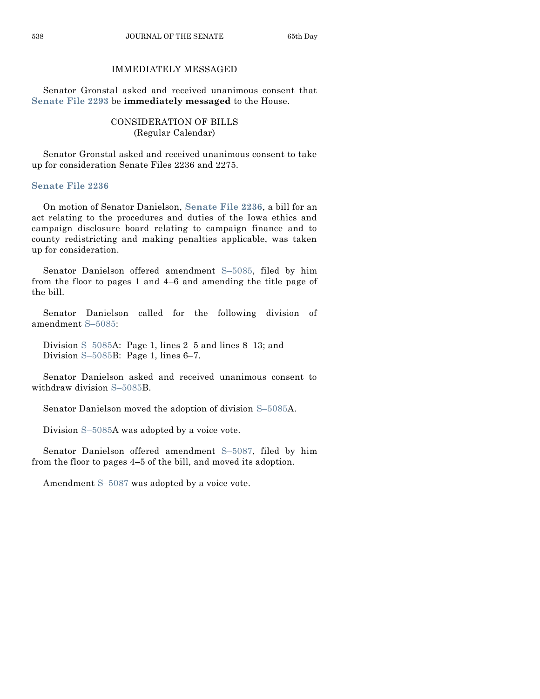# IMMEDIATELY MESSAGED

Senator Gronstal asked and received unanimous consent that **[Senate File 2293](http://coolice.legis.state.ia.us/Cool-ICE/default.asp?Category=billinfo&Service=Billbook&frame=1&GA=84&hbill=SF2293)** be **immediately messaged** to the House.

# CONSIDERATION OF BILLS (Regular Calendar)

Senator Gronstal asked and received unanimous consent to take up for consideration Senate Files 2236 and 2275.

# **[Senate File 2236](http://coolice.legis.state.ia.us/Cool-ICE/default.asp?Category=billinfo&Service=Billbook&frame=1&GA=84&hbill=SF2236)**

On motion of Senator Danielson, **[Senate File 2236](http://coolice.legis.state.ia.us/Cool-ICE/default.asp?Category=billinfo&Service=Billbook&frame=1&GA=84&hbill=SF2236)**, a bill for an act relating to the procedures and duties of the Iowa ethics and campaign disclosure board relating to campaign finance and to county redistricting and making penalties applicable, was taken up for consideration.

Senator Danielson offered amendment S–[5085,](http://coolice.legis.state.ia.us/Cool-ICE/default.asp?Category=billinfo&Service=Billbook&frame=1&GA=84&hbill=S5085) filed by him from the floor to pages 1 and 4–6 and amending the title page of the bill.

Senator Danielson called for the following division of amendment S–[5085:](http://coolice.legis.state.ia.us/Cool-ICE/default.asp?Category=billinfo&Service=Billbook&frame=1&GA=84&hbill=S5085)

Division S–[5085A](http://coolice.legis.state.ia.us/Cool-ICE/default.asp?Category=billinfo&Service=Billbook&frame=1&GA=84&hbill=S5085): Page 1, lines 2–5 and lines 8–13; and Division S–[5085B](http://coolice.legis.state.ia.us/Cool-ICE/default.asp?Category=billinfo&Service=Billbook&frame=1&GA=84&hbill=S5085): Page 1, lines 6–7.

Senator Danielson asked and received unanimous consent to withdraw division S–[5085B](http://coolice.legis.state.ia.us/Cool-ICE/default.asp?Category=billinfo&Service=Billbook&frame=1&GA=84&hbill=S5085).

Senator Danielson moved the adoption of division S–[5085A](http://coolice.legis.state.ia.us/Cool-ICE/default.asp?Category=billinfo&Service=Billbook&frame=1&GA=84&hbill=S5085).

Division S–[5085A](http://coolice.legis.state.ia.us/Cool-ICE/default.asp?Category=billinfo&Service=Billbook&frame=1&GA=84&hbill=S5085) was adopted by a voice vote.

Senator Danielson offered amendment S–[5087,](http://coolice.legis.state.ia.us/Cool-ICE/default.asp?Category=billinfo&Service=Billbook&frame=1&GA=84&hbill=S5087) filed by him from the floor to pages 4–5 of the bill, and moved its adoption.

Amendment S–[5087](http://coolice.legis.state.ia.us/Cool-ICE/default.asp?Category=billinfo&Service=Billbook&frame=1&GA=84&hbill=S5087) was adopted by a voice vote.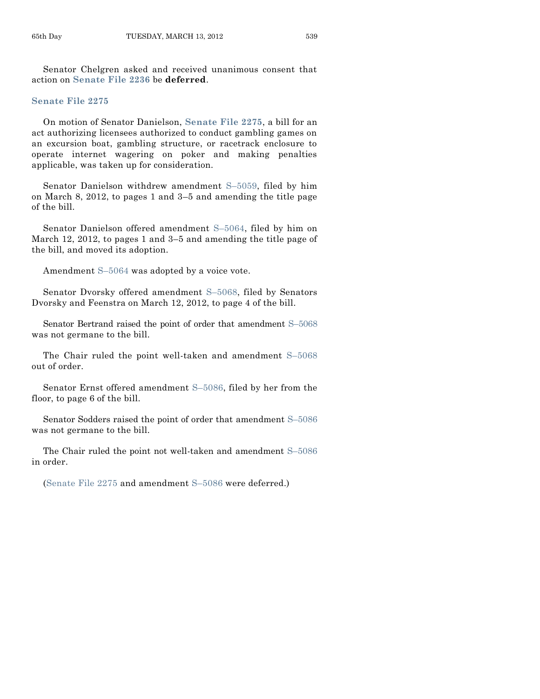Senator Chelgren asked and received unanimous consent that action on **[Senate File 2236](http://coolice.legis.state.ia.us/Cool-ICE/default.asp?Category=billinfo&Service=Billbook&frame=1&GA=84&hbill=SF2236)** be **deferred**.

# **[Senate File 2275](http://coolice.legis.state.ia.us/Cool-ICE/default.asp?Category=billinfo&Service=Billbook&frame=1&GA=84&hbill=SF2275)**

On motion of Senator Danielson, **[Senate File 2275](http://coolice.legis.state.ia.us/Cool-ICE/default.asp?Category=billinfo&Service=Billbook&frame=1&GA=84&hbill=SF2275)**, a bill for an act authorizing licensees authorized to conduct gambling games on an excursion boat, gambling structure, or racetrack enclosure to operate internet wagering on poker and making penalties applicable, was taken up for consideration.

Senator Danielson withdrew amendment S–[5059,](http://coolice.legis.state.ia.us/Cool-ICE/default.asp?Category=billinfo&Service=Billbook&frame=1&GA=84&hbill=S5059) filed by him on March 8, 2012, to pages 1 and 3–5 and amending the title page of the bill.

Senator Danielson offered amendment S–[5064,](http://coolice.legis.state.ia.us/Cool-ICE/default.asp?Category=billinfo&Service=Billbook&frame=1&GA=84&hbill=S5064) filed by him on March 12, 2012, to pages 1 and 3–5 and amending the title page of the bill, and moved its adoption.

Amendment S–[5064](http://coolice.legis.state.ia.us/Cool-ICE/default.asp?Category=billinfo&Service=Billbook&frame=1&GA=84&hbill=S5064) was adopted by a voice vote.

Senator Dvorsky offered amendment S–[5068,](http://coolice.legis.state.ia.us/Cool-ICE/default.asp?Category=billinfo&Service=Billbook&frame=1&GA=84&hbill=S5068) filed by Senators Dvorsky and Feenstra on March 12, 2012, to page 4 of the bill.

Senator Bertrand raised the point of order that amendment S–[5068](http://coolice.legis.state.ia.us/Cool-ICE/default.asp?Category=billinfo&Service=Billbook&frame=1&GA=84&hbill=S5068) was not germane to the bill.

The Chair ruled the point well-taken and amendment S–[5068](http://coolice.legis.state.ia.us/Cool-ICE/default.asp?Category=billinfo&Service=Billbook&frame=1&GA=84&hbill=S5068) out of order.

Senator Ernst offered amendment S–[5086,](http://coolice.legis.state.ia.us/Cool-ICE/default.asp?Category=billinfo&Service=Billbook&frame=1&GA=84&hbill=S5086) filed by her from the floor, to page 6 of the bill.

Senator Sodders raised the point of order that amendment S–[5086](http://coolice.legis.state.ia.us/Cool-ICE/default.asp?Category=billinfo&Service=Billbook&frame=1&GA=84&hbill=S5086) was not germane to the bill.

The Chair ruled the point not well-taken and amendment S–[5086](http://coolice.legis.state.ia.us/Cool-ICE/default.asp?Category=billinfo&Service=Billbook&frame=1&GA=84&hbill=S5086) in order.

[\(Senate File 2275](http://coolice.legis.state.ia.us/Cool-ICE/default.asp?Category=billinfo&Service=Billbook&frame=1&GA=84&hbill=SF2275) and amendment S–[5086](http://coolice.legis.state.ia.us/Cool-ICE/default.asp?Category=billinfo&Service=Billbook&frame=1&GA=84&hbill=S5086) were deferred.)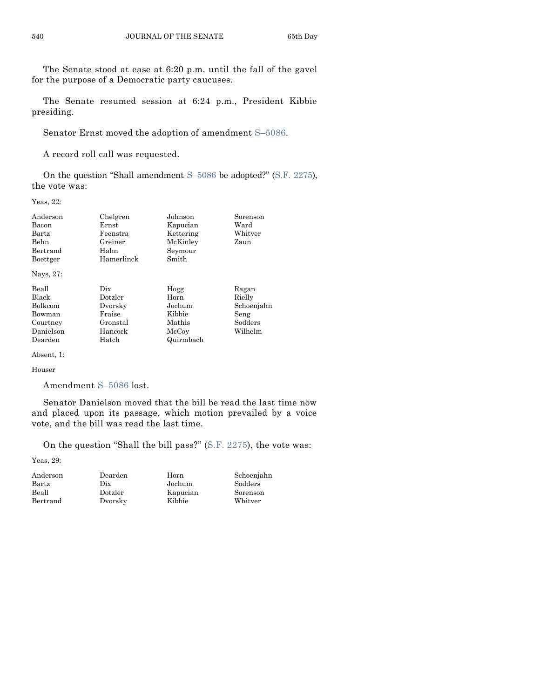The Senate stood at ease at 6:20 p.m. until the fall of the gavel for the purpose of a Democratic party caucuses.

The Senate resumed session at 6:24 p.m., President Kibbie presiding.

Senator Ernst moved the adoption of amendment S–[5086.](http://coolice.legis.state.ia.us/Cool-ICE/default.asp?Category=billinfo&Service=Billbook&frame=1&GA=84&hbill=S5086)

A record roll call was requested.

On the question "Shall amendment S–[5086](http://coolice.legis.state.ia.us/Cool-ICE/default.asp?Category=billinfo&Service=Billbook&frame=1&GA=84&hbill=S5086) be adopted?" [\(S.F. 2275\)](http://coolice.legis.state.ia.us/Cool-ICE/default.asp?Category=billinfo&Service=Billbook&frame=1&GA=84&hbill=SF2275), the vote was:

Yeas, 22:

| Anderson     | Chelgren   | Johnson   | Sorenson   |
|--------------|------------|-----------|------------|
| Bacon        | Ernst      | Kapucian  | Ward       |
| $\rm{Bartz}$ | Feenstra   | Kettering | Whitver    |
| Behn         | Greiner    | McKinley  | Zaun       |
| Bertrand     | Hahn       | Seymour   |            |
| Boettger     | Hamerlinck | Smith     |            |
| Nays, 27:    |            |           |            |
| Beall        | Dix.       | Hogg      | Ragan      |
| <b>Black</b> | Dotzler    | Horn      | Rielly     |
| Bolkcom      | Dvorsky    | Jochum    | Schoenjahn |
| Bowman       | Fraise     | Kibbie    | Seng       |
| Courtney     | Gronstal   | Mathis    | Sodders    |
| Danielson    | Hancock    | McCoy     | Wilhelm    |
| Dearden      | Hatch      | Quirmbach |            |
| Absent, 1:   |            |           |            |

#### Houser

Amendment S–[5086](http://coolice.legis.state.ia.us/Cool-ICE/default.asp?Category=billinfo&Service=Billbook&frame=1&GA=84&hbill=S5086) lost.

Senator Danielson moved that the bill be read the last time now and placed upon its passage, which motion prevailed by a voice vote, and the bill was read the last time.

On the question "Shall the bill pass?" [\(S.F. 2275\)](http://coolice.legis.state.ia.us/Cool-ICE/default.asp?Category=billinfo&Service=Billbook&frame=1&GA=84&hbill=SF2275), the vote was:

Yeas, 29:

| Dearden | Horn     | Schoenjahn |
|---------|----------|------------|
| Dix     | Jochum   | Sodders    |
| Dotzler | Kapucian | Sorenson   |
| Dvorsky | Kibbie   | Whitver    |
|         |          |            |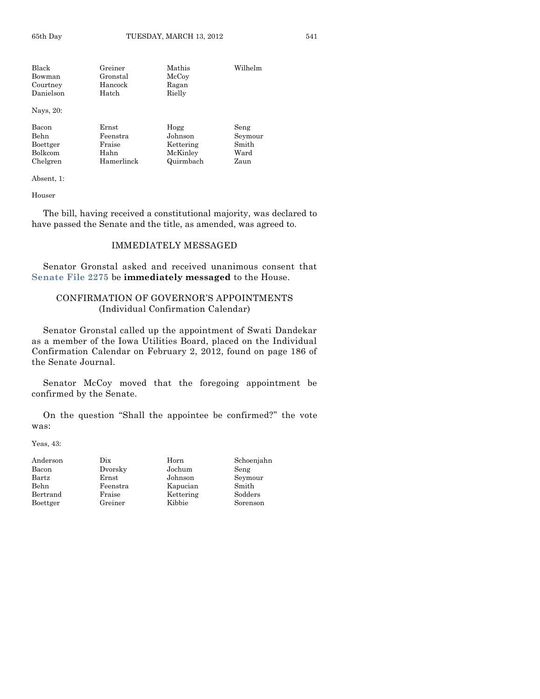Black Greiner Mathis Wilhelm Bowman Gronstal McCoy<br>Courtney Hancock Ragan Courtney Danielson Hatch Rielly Nays, 20:

| Bacon    | Ernst      | Hogg      | Seng    |
|----------|------------|-----------|---------|
| Behn     | Feenstra   | Johnson   | Seymour |
| Boettger | Fraise     | Kettering | Smith   |
| Bolkcom  | Hahn       | McKinley  | Ward    |
| Chelgren | Hamerlinck | Quirmbach | Zaun    |

Absent, 1:

Houser

The bill, having received a constitutional majority, was declared to have passed the Senate and the title, as amended, was agreed to.

# IMMEDIATELY MESSAGED

Senator Gronstal asked and received unanimous consent that **[Senate File 2275](http://coolice.legis.state.ia.us/Cool-ICE/default.asp?Category=billinfo&Service=Billbook&frame=1&GA=84&hbill=SF2275)** be **immediately messaged** to the House.

# CONFIRMATION OF GOVERNOR'S APPOINTMENTS (Individual Confirmation Calendar)

Senator Gronstal called up the appointment of Swati Dandekar as a member of the Iowa Utilities Board, placed on the Individual Confirmation Calendar on February 2, 2012, found on page 186 of the Senate Journal.

Senator McCoy moved that the foregoing appointment be confirmed by the Senate.

On the question "Shall the appointee be confirmed?" the vote was:

Yeas, 43:

| Anderson     | Dix      | Horn      | Schoenjahn |
|--------------|----------|-----------|------------|
| Bacon        | Dvorsky  | Jochum    | Seng       |
| $\rm{Bartz}$ | Ernst    | Johnson   | Seymour    |
| Behn         | Feenstra | Kapucian  | Smith      |
| Bertrand     | Fraise   | Kettering | Sodders    |
| Boettger     | Greiner  | Kibbie    | Sorenson   |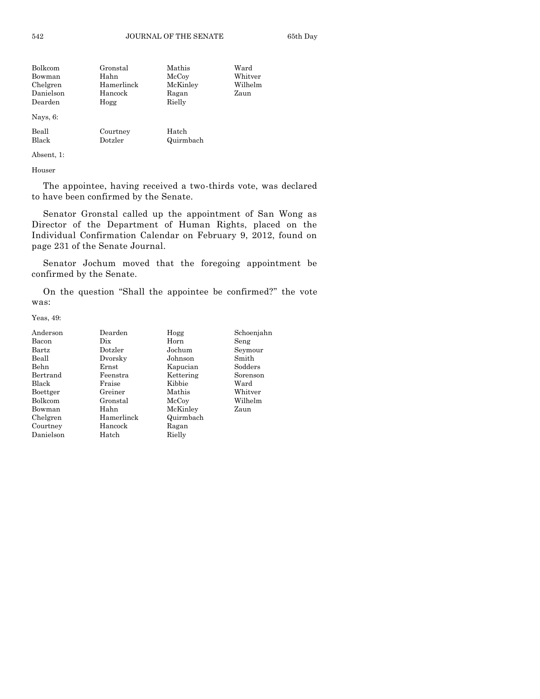| Bolkcom   | Gronstal   | Mathis    | Ward    |
|-----------|------------|-----------|---------|
| Bowman    | Hahn       | McCoy     | Whitver |
| Chelgren  | Hamerlinck | McKinley  | Wilhelm |
| Danielson | Hancock    | Ragan     | Zaun    |
| Dearden   | Hogg       | Rielly    |         |
| Nays, 6:  |            |           |         |
| Beall     | Courtney   | Hatch     |         |
| Black     | Dotzler    | Quirmbach |         |

Absent, 1:

Houser

The appointee, having received a two-thirds vote, was declared to have been confirmed by the Senate.

Senator Gronstal called up the appointment of San Wong as Director of the Department of Human Rights, placed on the Individual Confirmation Calendar on February 9, 2012, found on page 231 of the Senate Journal.

Senator Jochum moved that the foregoing appointment be confirmed by the Senate.

On the question "Shall the appointee be confirmed?" the vote was:

Yeas, 49:

| Anderson       | Dearden    | Hogg      | Schoenjahn |
|----------------|------------|-----------|------------|
| Bacon          | Dix        | Horn      | Seng       |
| <b>Bartz</b>   | Dotzler    | Jochum    | Seymour    |
| Beall          | Dvorsky    | Johnson   | Smith      |
| Behn           | Ernst      | Kapucian  | Sodders    |
| Bertrand       | Feenstra   | Kettering | Sorenson   |
| Black          | Fraise     | Kibbie    | Ward       |
| Boettger       | Greiner    | Mathis    | Whitver    |
| <b>Bolkcom</b> | Gronstal   | McCoy     | Wilhelm    |
| Bowman         | Hahn       | McKinley  | Zaun       |
| Chelgren       | Hamerlinck | Quirmbach |            |
| Courtney       | Hancock    | Ragan     |            |
| Danielson      | Hatch      | Rielly    |            |
|                |            |           |            |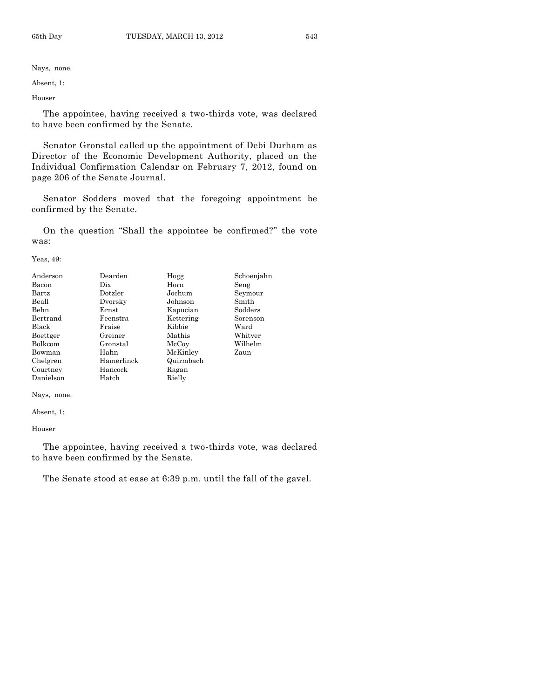Nays, none.

Absent, 1:

Houser

The appointee, having received a two-thirds vote, was declared to have been confirmed by the Senate.

Senator Gronstal called up the appointment of Debi Durham as Director of the Economic Development Authority, placed on the Individual Confirmation Calendar on February 7, 2012, found on page 206 of the Senate Journal.

Senator Sodders moved that the foregoing appointment be confirmed by the Senate.

On the question "Shall the appointee be confirmed?" the vote was:

Yeas, 49:

| Anderson       | Dearden    | Hogg      | Schoenjahn |
|----------------|------------|-----------|------------|
| Bacon          | Dix        | Horn      | Seng       |
| Bartz          | Dotzler    | Jochum    | Seymour    |
| Beall          | Dvorsky    | Johnson   | Smith      |
| Behn           | Ernst      | Kapucian  | Sodders    |
| Bertrand       | Feenstra   | Kettering | Sorenson   |
| Black          | Fraise     | Kibbie    | Ward       |
| Boettger       | Greiner    | Mathis    | Whitver    |
| <b>Bolkcom</b> | Gronstal   | McCoy     | Wilhelm    |
| Bowman         | Hahn       | McKinley  | Zaun       |
| Chelgren       | Hamerlinck | Quirmbach |            |
| Courtney       | Hancock    | Ragan     |            |
| Danielson      | Hatch      | Rielly    |            |

Nays, none.

Absent, 1:

Houser

The appointee, having received a two-thirds vote, was declared to have been confirmed by the Senate.

The Senate stood at ease at 6:39 p.m. until the fall of the gavel.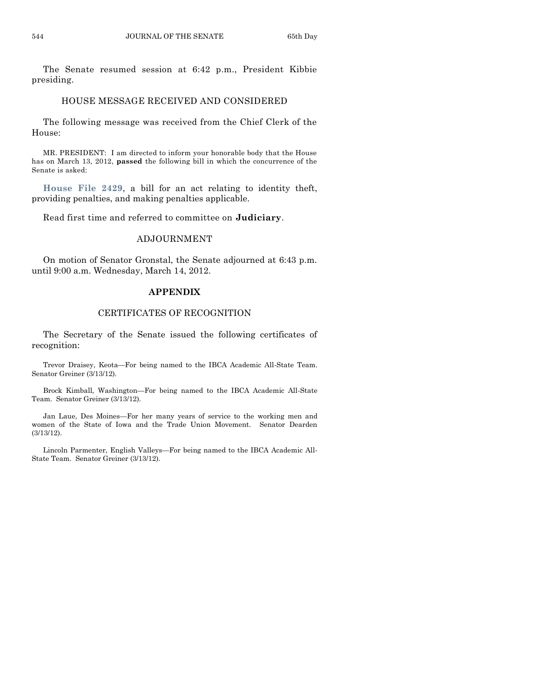The Senate resumed session at 6:42 p.m., President Kibbie presiding.

# HOUSE MESSAGE RECEIVED AND CONSIDERED

The following message was received from the Chief Clerk of the House:

MR. PRESIDENT: I am directed to inform your honorable body that the House has on March 13, 2012, **passed** the following bill in which the concurrence of the Senate is asked:

**[House File 2429](http://coolice.legis.state.ia.us/Cool-ICE/default.asp?Category=billinfo&Service=Billbook&frame=1&GA=84&hbill=HF2429)**, a bill for an act relating to identity theft, providing penalties, and making penalties applicable.

Read first time and referred to committee on **Judiciary**.

# ADJOURNMENT

On motion of Senator Gronstal, the Senate adjourned at 6:43 p.m. until 9:00 a.m. Wednesday, March 14, 2012.

# **APPENDIX**

# CERTIFICATES OF RECOGNITION

The Secretary of the Senate issued the following certificates of recognition:

Trevor Draisey, Keota—For being named to the IBCA Academic All-State Team. Senator Greiner (3/13/12).

Brock Kimball, Washington—For being named to the IBCA Academic All-State Team. Senator Greiner (3/13/12).

Jan Laue, Des Moines—For her many years of service to the working men and women of the State of Iowa and the Trade Union Movement. Senator Dearden (3/13/12).

Lincoln Parmenter, English Valleys—For being named to the IBCA Academic All-State Team. Senator Greiner (3/13/12).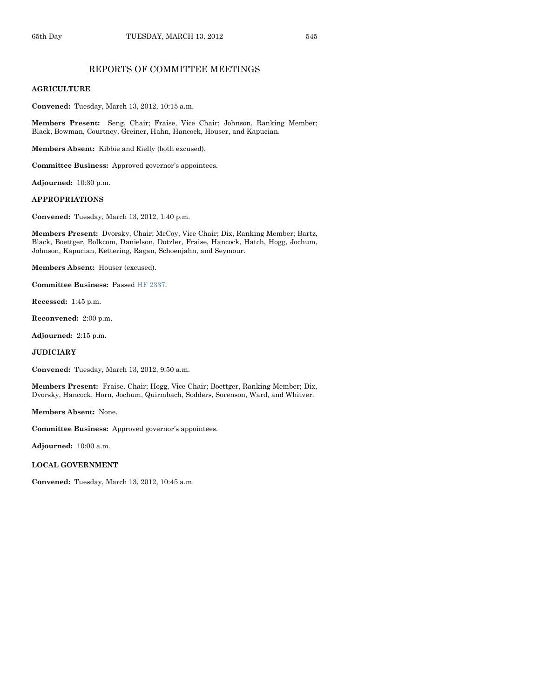# REPORTS OF COMMITTEE MEETINGS

## **AGRICULTURE**

**Convened:** Tuesday, March 13, 2012, 10:15 a.m.

**Members Present:** Seng, Chair; Fraise, Vice Chair; Johnson, Ranking Member; Black, Bowman, Courtney, Greiner, Hahn, Hancock, Houser, and Kapucian.

**Members Absent:** Kibbie and Rielly (both excused).

**Committee Business:** Approved governor's appointees.

**Adjourned:** 10:30 p.m.

#### **APPROPRIATIONS**

**Convened:** Tuesday, March 13, 2012, 1:40 p.m.

**Members Present:** Dvorsky, Chair; McCoy, Vice Chair; Dix, Ranking Member; Bartz, Black, Boettger, Bolkcom, Danielson, Dotzler, Fraise, Hancock, Hatch, Hogg, Jochum, Johnson, Kapucian, Kettering, Ragan, Schoenjahn, and Seymour.

**Members Absent:** Houser (excused).

**Committee Business:** Passe[d HF 2337.](http://coolice.legis.state.ia.us/Cool-ICE/default.asp?Category=billinfo&Service=Billbook&frame=1&GA=84&hbill=HF2337)

**Recessed:** 1:45 p.m.

**Reconvened:** 2:00 p.m.

**Adjourned:** 2:15 p.m.

**JUDICIARY**

**Convened:** Tuesday, March 13, 2012, 9:50 a.m.

**Members Present:** Fraise, Chair; Hogg, Vice Chair; Boettger, Ranking Member; Dix, Dvorsky, Hancock, Horn, Jochum, Quirmbach, Sodders, Sorenson, Ward, and Whitver.

**Members Absent:** None.

**Committee Business:** Approved governor's appointees.

**Adjourned:** 10:00 a.m.

#### **LOCAL GOVERNMENT**

**Convened:** Tuesday, March 13, 2012, 10:45 a.m.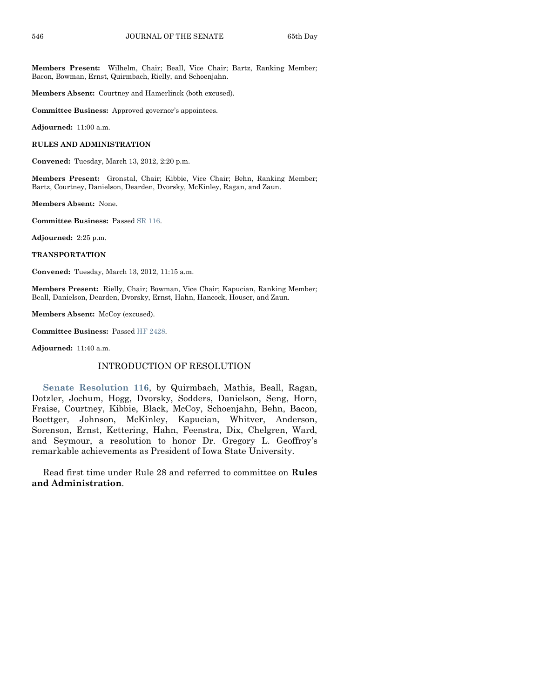**Members Present:** Wilhelm, Chair; Beall, Vice Chair; Bartz, Ranking Member; Bacon, Bowman, Ernst, Quirmbach, Rielly, and Schoenjahn.

**Members Absent:** Courtney and Hamerlinck (both excused).

**Committee Business:** Approved governor's appointees.

**Adjourned:** 11:00 a.m.

#### **RULES AND ADMINISTRATION**

**Convened:** Tuesday, March 13, 2012, 2:20 p.m.

**Members Present:** Gronstal, Chair; Kibbie, Vice Chair; Behn, Ranking Member; Bartz, Courtney, Danielson, Dearden, Dvorsky, McKinley, Ragan, and Zaun.

**Members Absent:** None.

**Committee Business:** Passe[d SR 116.](http://coolice.legis.state.ia.us/Cool-ICE/default.asp?Category=billinfo&Service=Billbook&frame=1&GA=84&hbill=SR116)

**Adjourned:** 2:25 p.m.

**TRANSPORTATION**

**Convened:** Tuesday, March 13, 2012, 11:15 a.m.

**Members Present:** Rielly, Chair; Bowman, Vice Chair; Kapucian, Ranking Member; Beall, Danielson, Dearden, Dvorsky, Ernst, Hahn, Hancock, Houser, and Zaun.

**Members Absent:** McCoy (excused).

**Committee Business:** Passe[d HF 2428.](http://coolice.legis.state.ia.us/Cool-ICE/default.asp?Category=billinfo&Service=Billbook&frame=1&GA=84&hbill=HF2428)

**Adjourned:** 11:40 a.m.

# INTRODUCTION OF RESOLUTION

**[Senate Resolution 116](http://coolice.legis.state.ia.us/Cool-ICE/default.asp?Category=billinfo&Service=Billbook&frame=1&GA=84&hbill=SR116)**, by Quirmbach, Mathis, Beall, Ragan, Dotzler, Jochum, Hogg, Dvorsky, Sodders, Danielson, Seng, Horn, Fraise, Courtney, Kibbie, Black, McCoy, Schoenjahn, Behn, Bacon, Boettger, Johnson, McKinley, Kapucian, Whitver, Anderson, Sorenson, Ernst, Kettering, Hahn, Feenstra, Dix, Chelgren, Ward, and Seymour, a resolution to honor Dr. Gregory L. Geoffroy's remarkable achievements as President of Iowa State University.

Read first time under Rule 28 and referred to committee on **Rules and Administration**.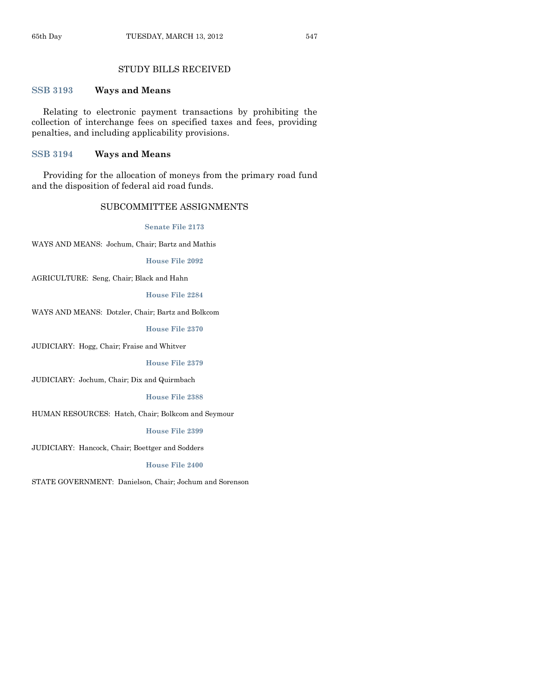# STUDY BILLS RECEIVED

# **[SSB 3193](http://coolice.legis.state.ia.us/Cool-ICE/default.asp?Category=billinfo&Service=Billbook&frame=1&GA=84&hbill=SSB3193) Ways and Means**

Relating to electronic payment transactions by prohibiting the collection of interchange fees on specified taxes and fees, providing penalties, and including applicability provisions.

# **[SSB 3194](http://coolice.legis.state.ia.us/Cool-ICE/default.asp?Category=billinfo&Service=Billbook&frame=1&GA=84&hbill=SSB3194) Ways and Means**

Providing for the allocation of moneys from the primary road fund and the disposition of federal aid road funds.

# SUBCOMMITTEE ASSIGNMENTS

**[Senate File 2173](http://coolice.legis.state.ia.us/Cool-ICE/default.asp?Category=billinfo&Service=Billbook&frame=1&GA=84&hbill=SF2173)**

WAYS AND MEANS: Jochum, Chair; Bartz and Mathis

**[House File 2092](http://coolice.legis.state.ia.us/Cool-ICE/default.asp?Category=billinfo&Service=Billbook&frame=1&GA=84&hbill=HF2092)**

AGRICULTURE: Seng, Chair; Black and Hahn

#### **[House File 2284](http://coolice.legis.state.ia.us/Cool-ICE/default.asp?Category=billinfo&Service=Billbook&frame=1&GA=84&hbill=HF2284)**

WAYS AND MEANS: Dotzler, Chair; Bartz and Bolkcom

**[House File 2370](http://coolice.legis.state.ia.us/Cool-ICE/default.asp?Category=billinfo&Service=Billbook&frame=1&GA=84&hbill=HF2370)**

JUDICIARY: Hogg, Chair; Fraise and Whitver

**[House File 2379](http://coolice.legis.state.ia.us/Cool-ICE/default.asp?Category=billinfo&Service=Billbook&frame=1&GA=84&hbill=HF2379)**

JUDICIARY: Jochum, Chair; Dix and Quirmbach

**[House File 2388](http://coolice.legis.state.ia.us/Cool-ICE/default.asp?Category=billinfo&Service=Billbook&frame=1&GA=84&hbill=HF2388)**

HUMAN RESOURCES: Hatch, Chair; Bolkcom and Seymour

# **[House File 2399](http://coolice.legis.state.ia.us/Cool-ICE/default.asp?Category=billinfo&Service=Billbook&frame=1&GA=84&hbill=HF2399)**

JUDICIARY: Hancock, Chair; Boettger and Sodders

# **[House File 2400](http://coolice.legis.state.ia.us/Cool-ICE/default.asp?Category=billinfo&Service=Billbook&frame=1&GA=84&hbill=HF2400)**

STATE GOVERNMENT: Danielson, Chair; Jochum and Sorenson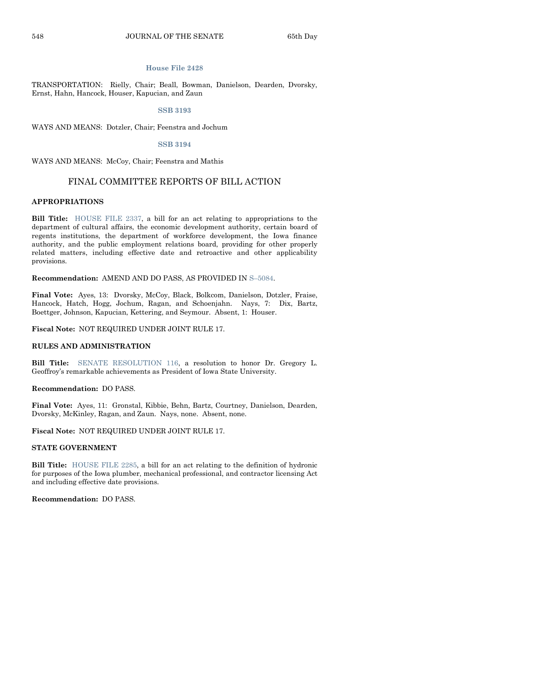#### **[House File 2428](http://coolice.legis.state.ia.us/Cool-ICE/default.asp?Category=billinfo&Service=Billbook&frame=1&GA=84&hbill=HF2428)**

TRANSPORTATION: Rielly, Chair; Beall, Bowman, Danielson, Dearden, Dvorsky, Ernst, Hahn, Hancock, Houser, Kapucian, and Zaun

#### **[SSB 3193](http://coolice.legis.state.ia.us/Cool-ICE/default.asp?Category=billinfo&Service=Billbook&frame=1&GA=84&hbill=SSB3193)**

WAYS AND MEANS: Dotzler, Chair; Feenstra and Jochum

#### **[SSB 3194](http://coolice.legis.state.ia.us/Cool-ICE/default.asp?Category=billinfo&Service=Billbook&frame=1&GA=84&hbill=SSB3194)**

WAYS AND MEANS: McCoy, Chair; Feenstra and Mathis

#### FINAL COMMITTEE REPORTS OF BILL ACTION

# **APPROPRIATIONS**

**Bill Title:** [HOUSE FILE 2337,](http://coolice.legis.state.ia.us/Cool-ICE/default.asp?Category=billinfo&Service=Billbook&frame=1&GA=84&hbill=HF2337) a bill for an act relating to appropriations to the department of cultural affairs, the economic development authority, certain board of regents institutions, the department of workforce development, the Iowa finance authority, and the public employment relations board, providing for other properly related matters, including effective date and retroactive and other applicability provisions.

**Recommendation:** AMEND AND DO PASS, AS PROVIDED IN S–[5084.](http://coolice.legis.state.ia.us/Cool-ICE/default.asp?Category=billinfo&Service=Billbook&frame=1&GA=84&hbill=S5084)

**Final Vote:** Ayes, 13: Dvorsky, McCoy, Black, Bolkcom, Danielson, Dotzler, Fraise, Hancock, Hatch, Hogg, Jochum, Ragan, and Schoenjahn. Nays, 7: Dix, Bartz, Boettger, Johnson, Kapucian, Kettering, and Seymour. Absent, 1: Houser.

**Fiscal Note:** NOT REQUIRED UNDER JOINT RULE 17.

#### **RULES AND ADMINISTRATION**

**Bill Title:** [SENATE RESOLUTION 116,](http://coolice.legis.state.ia.us/Cool-ICE/default.asp?Category=billinfo&Service=Billbook&frame=1&GA=84&hbill=SR116) a resolution to honor Dr. Gregory L. Geoffroy's remarkable achievements as President of Iowa State University.

#### **Recommendation:** DO PASS.

**Final Vote:** Ayes, 11: Gronstal, Kibbie, Behn, Bartz, Courtney, Danielson, Dearden, Dvorsky, McKinley, Ragan, and Zaun. Nays, none. Absent, none.

**Fiscal Note:** NOT REQUIRED UNDER JOINT RULE 17.

#### **STATE GOVERNMENT**

**Bill Title:** [HOUSE FILE 2285,](http://coolice.legis.state.ia.us/Cool-ICE/default.asp?Category=billinfo&Service=Billbook&frame=1&GA=84&hbill=HF2285) a bill for an act relating to the definition of hydronic for purposes of the Iowa plumber, mechanical professional, and contractor licensing Act and including effective date provisions.

**Recommendation:** DO PASS.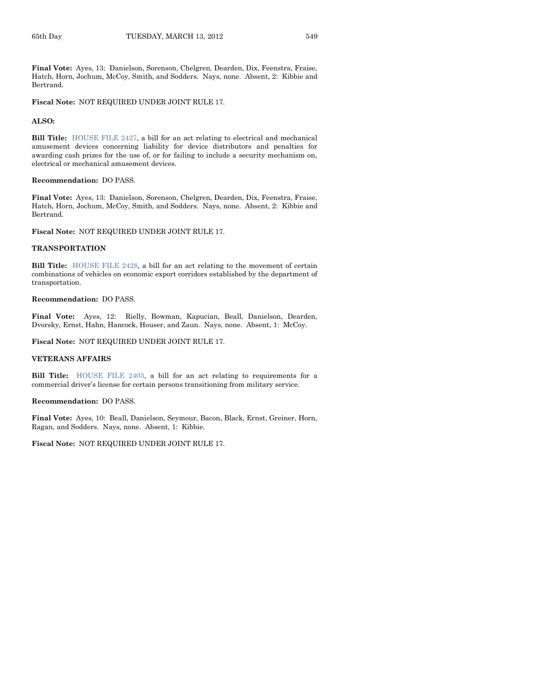**Final Vote:** Ayes, 13: Danielson, Sorenson, Chelgren, Dearden, Dix, Feenstra, Fraise, Hatch, Horn, Jochum, McCoy, Smith, and Sodders. Nays, none. Absent, 2: Kibbie and Bertrand.

**Fiscal Note:** NOT REQUIRED UNDER JOINT RULE 17.

#### **ALSO:**

**Bill Title:** [HOUSE FILE 2427,](http://coolice.legis.state.ia.us/Cool-ICE/default.asp?Category=billinfo&Service=Billbook&frame=1&GA=84&hbill=HF2427) a bill for an act relating to electrical and mechanical amusement devices concerning liability for device distributors and penalties for awarding cash prizes for the use of, or for failing to include a security mechanism on, electrical or mechanical amusement devices.

#### **Recommendation:** DO PASS.

**Final Vote:** Ayes, 13: Danielson, Sorenson, Chelgren, Dearden, Dix, Feenstra, Fraise, Hatch, Horn, Jochum, McCoy, Smith, and Sodders. Nays, none. Absent, 2: Kibbie and Bertrand.

**Fiscal Note:** NOT REQUIRED UNDER JOINT RULE 17.

#### **TRANSPORTATION**

**Bill Title:** [HOUSE FILE 2428,](http://coolice.legis.state.ia.us/Cool-ICE/default.asp?Category=billinfo&Service=Billbook&frame=1&GA=84&hbill=HF2428) a bill for an act relating to the movement of certain combinations of vehicles on economic export corridors established by the department of transportation.

#### **Recommendation:** DO PASS.

**Final Vote:** Ayes, 12: Rielly, Bowman, Kapucian, Beall, Danielson, Dearden, Dvorsky, Ernst, Hahn, Hancock, Houser, and Zaun. Nays, none. Absent, 1: McCoy.

**Fiscal Note:** NOT REQUIRED UNDER JOINT RULE 17.

#### **VETERANS AFFAIRS**

**Bill Title:** [HOUSE FILE 2403,](http://coolice.legis.state.ia.us/Cool-ICE/default.asp?Category=billinfo&Service=Billbook&frame=1&GA=84&hbill=HF2403) a bill for an act relating to requirements for a commercial driver's license for certain persons transitioning from military service.

#### **Recommendation:** DO PASS.

**Final Vote:** Ayes, 10: Beall, Danielson, Seymour, Bacon, Black, Ernst, Greiner, Horn, Ragan, and Sodders. Nays, none. Absent, 1: Kibbie.

#### **Fiscal Note:** NOT REQUIRED UNDER JOINT RULE 17.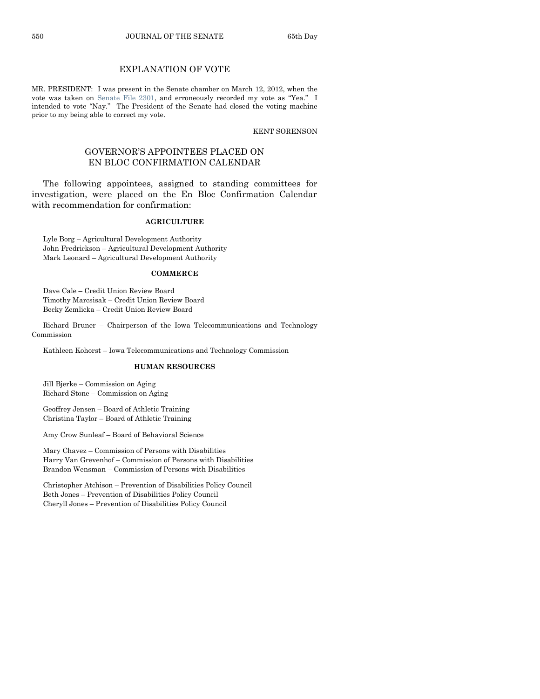# EXPLANATION OF VOTE

MR. PRESIDENT: I was present in the Senate chamber on March 12, 2012, when the vote was taken on [Senate File 2301,](http://coolice.legis.state.ia.us/Cool-ICE/default.asp?Category=billinfo&Service=Billbook&frame=1&GA=84&hbill=SF2301) and erroneously recorded my vote as "Yea." I intended to vote "Nay." The President of the Senate had closed the voting machine prior to my being able to correct my vote.

KENT SORENSON

# GOVERNOR'S APPOINTEES PLACED ON EN BLOC CONFIRMATION CALENDAR

The following appointees, assigned to standing committees for investigation, were placed on the En Bloc Confirmation Calendar with recommendation for confirmation:

#### **AGRICULTURE**

Lyle Borg – Agricultural Development Authority John Fredrickson – Agricultural Development Authority Mark Leonard – Agricultural Development Authority

#### **COMMERCE**

Dave Cale – Credit Union Review Board Timothy Marcsisak – Credit Union Review Board Becky Zemlicka – Credit Union Review Board

Richard Bruner – Chairperson of the Iowa Telecommunications and Technology Commission

Kathleen Kohorst – Iowa Telecommunications and Technology Commission

# **HUMAN RESOURCES**

Jill Bjerke – Commission on Aging Richard Stone – Commission on Aging

Geoffrey Jensen – Board of Athletic Training Christina Taylor – Board of Athletic Training

Amy Crow Sunleaf – Board of Behavioral Science

Mary Chavez – Commission of Persons with Disabilities Harry Van Grevenhof – Commission of Persons with Disabilities Brandon Wensman – Commission of Persons with Disabilities

Christopher Atchison – Prevention of Disabilities Policy Council Beth Jones – Prevention of Disabilities Policy Council Cheryll Jones – Prevention of Disabilities Policy Council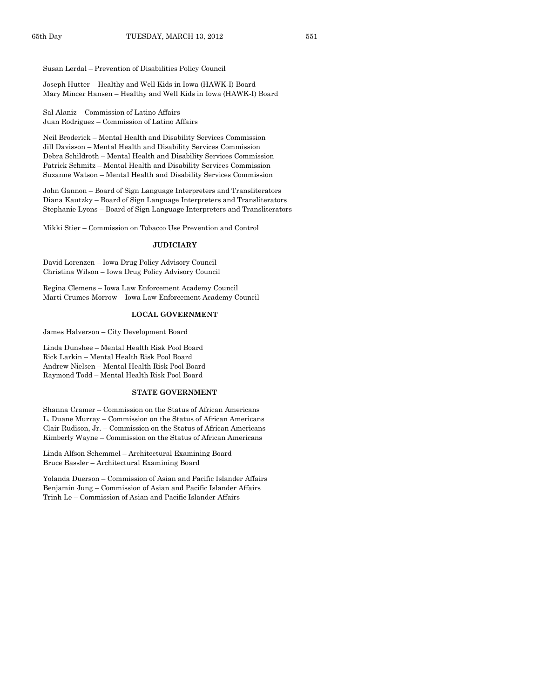Susan Lerdal – Prevention of Disabilities Policy Council

Joseph Hutter – Healthy and Well Kids in Iowa (HAWK-I) Board Mary Mincer Hansen – Healthy and Well Kids in Iowa (HAWK-I) Board

Sal Alaniz – Commission of Latino Affairs Juan Rodriguez – Commission of Latino Affairs

Neil Broderick – Mental Health and Disability Services Commission Jill Davisson – Mental Health and Disability Services Commission Debra Schildroth – Mental Health and Disability Services Commission Patrick Schmitz – Mental Health and Disability Services Commission Suzanne Watson – Mental Health and Disability Services Commission

John Gannon – Board of Sign Language Interpreters and Transliterators Diana Kautzky – Board of Sign Language Interpreters and Transliterators Stephanie Lyons – Board of Sign Language Interpreters and Transliterators

Mikki Stier – Commission on Tobacco Use Prevention and Control

#### **JUDICIARY**

David Lorenzen – Iowa Drug Policy Advisory Council Christina Wilson – Iowa Drug Policy Advisory Council

Regina Clemens – Iowa Law Enforcement Academy Council Marti Crumes-Morrow – Iowa Law Enforcement Academy Council

#### **LOCAL GOVERNMENT**

James Halverson – City Development Board

Linda Dunshee – Mental Health Risk Pool Board Rick Larkin – Mental Health Risk Pool Board Andrew Nielsen – Mental Health Risk Pool Board Raymond Todd – Mental Health Risk Pool Board

#### **STATE GOVERNMENT**

Shanna Cramer – Commission on the Status of African Americans L. Duane Murray – Commission on the Status of African Americans Clair Rudison, Jr. – Commission on the Status of African Americans Kimberly Wayne – Commission on the Status of African Americans

Linda Alfson Schemmel – Architectural Examining Board Bruce Bassler – Architectural Examining Board

Yolanda Duerson – Commission of Asian and Pacific Islander Affairs Benjamin Jung – Commission of Asian and Pacific Islander Affairs Trinh Le – Commission of Asian and Pacific Islander Affairs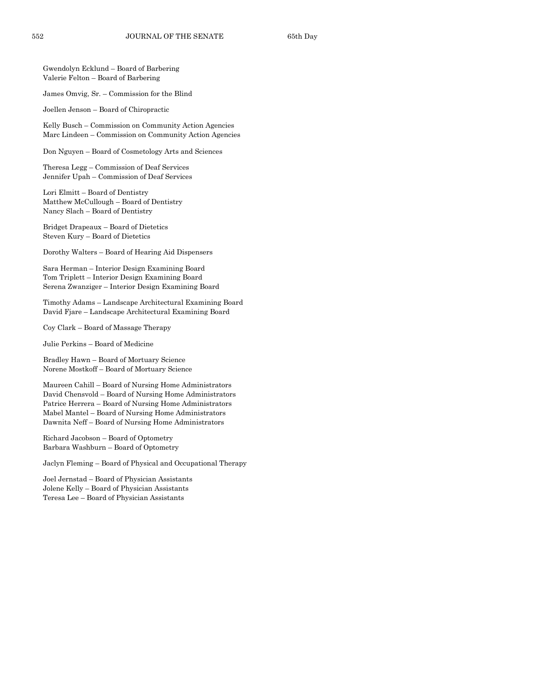Gwendolyn Ecklund – Board of Barbering Valerie Felton – Board of Barbering

James Omvig, Sr. – Commission for the Blind

Joellen Jenson – Board of Chiropractic

Kelly Busch – Commission on Community Action Agencies Marc Lindeen – Commission on Community Action Agencies

Don Nguyen – Board of Cosmetology Arts and Sciences

Theresa Legg – Commission of Deaf Services Jennifer Upah – Commission of Deaf Services

Lori Elmitt – Board of Dentistry Matthew McCullough – Board of Dentistry Nancy Slach – Board of Dentistry

Bridget Drapeaux – Board of Dietetics Steven Kury – Board of Dietetics

Dorothy Walters – Board of Hearing Aid Dispensers

Sara Herman – Interior Design Examining Board Tom Triplett – Interior Design Examining Board Serena Zwanziger – Interior Design Examining Board

Timothy Adams – Landscape Architectural Examining Board David Fjare – Landscape Architectural Examining Board

Coy Clark – Board of Massage Therapy

Julie Perkins – Board of Medicine

Bradley Hawn – Board of Mortuary Science Norene Mostkoff – Board of Mortuary Science

Maureen Cahill – Board of Nursing Home Administrators David Chensvold – Board of Nursing Home Administrators Patrice Herrera – Board of Nursing Home Administrators Mabel Mantel – Board of Nursing Home Administrators Dawnita Neff – Board of Nursing Home Administrators

Richard Jacobson – Board of Optometry Barbara Washburn – Board of Optometry

Jaclyn Fleming – Board of Physical and Occupational Therapy

Joel Jernstad – Board of Physician Assistants Jolene Kelly – Board of Physician Assistants Teresa Lee – Board of Physician Assistants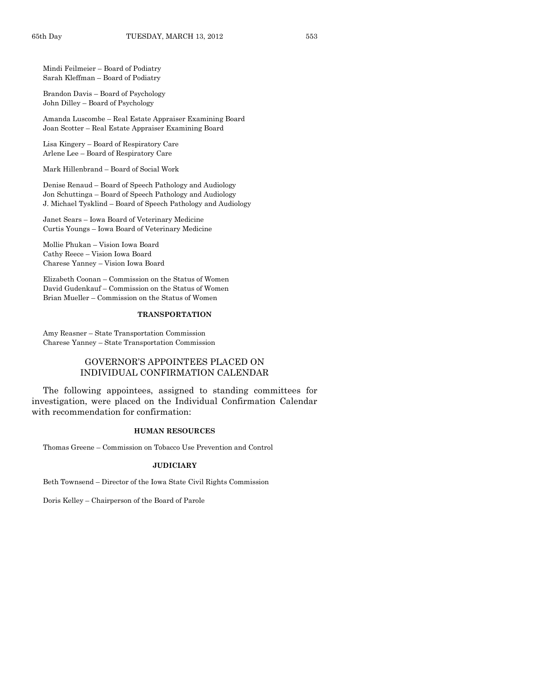Mindi Feilmeier – Board of Podiatry Sarah Kleffman – Board of Podiatry

Brandon Davis – Board of Psychology John Dilley – Board of Psychology

Amanda Luscombe – Real Estate Appraiser Examining Board Joan Scotter – Real Estate Appraiser Examining Board

Lisa Kingery – Board of Respiratory Care Arlene Lee – Board of Respiratory Care

Mark Hillenbrand – Board of Social Work

Denise Renaud – Board of Speech Pathology and Audiology Jon Schuttinga – Board of Speech Pathology and Audiology J. Michael Tysklind – Board of Speech Pathology and Audiology

Janet Sears – Iowa Board of Veterinary Medicine Curtis Youngs – Iowa Board of Veterinary Medicine

Mollie Phukan – Vision Iowa Board Cathy Reece – Vision Iowa Board Charese Yanney – Vision Iowa Board

Elizabeth Coonan – Commission on the Status of Women David Gudenkauf – Commission on the Status of Women Brian Mueller – Commission on the Status of Women

#### **TRANSPORTATION**

Amy Reasner – State Transportation Commission Charese Yanney – State Transportation Commission

# GOVERNOR'S APPOINTEES PLACED ON INDIVIDUAL CONFIRMATION CALENDAR

The following appointees, assigned to standing committees for investigation, were placed on the Individual Confirmation Calendar with recommendation for confirmation:

#### **HUMAN RESOURCES**

Thomas Greene – Commission on Tobacco Use Prevention and Control

#### **JUDICIARY**

Beth Townsend – Director of the Iowa State Civil Rights Commission

Doris Kelley – Chairperson of the Board of Parole